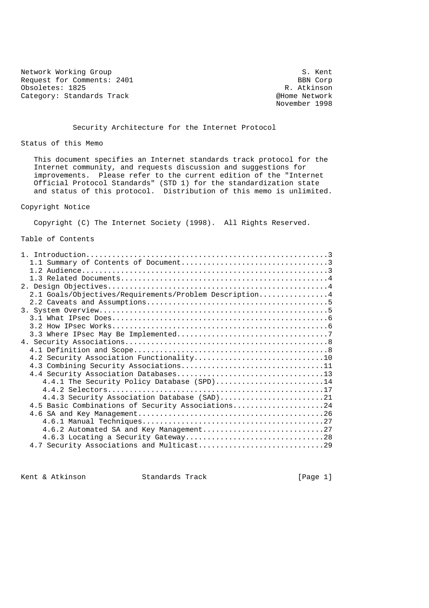Network Working Group S. Kent<br>Request for Comments: 2401 S. S. Kent Request for Comments: 2401 BBN Corp<br>
0bsoletes: 1825 R. Atkinson Obsoletes: 1825<br>Category: Standards Track Category: Standards Track Category: Standards Track

November 1998

Security Architecture for the Internet Protocol

Status of this Memo

 This document specifies an Internet standards track protocol for the Internet community, and requests discussion and suggestions for improvements. Please refer to the current edition of the "Internet Official Protocol Standards" (STD 1) for the standardization state and status of this protocol. Distribution of this memo is unlimited.

# Copyright Notice

Copyright (C) The Internet Society (1998). All Rights Reserved.

## Table of Contents

| 2.1 Goals/Objectives/Requirements/Problem Description4 |
|--------------------------------------------------------|
|                                                        |
|                                                        |
|                                                        |
|                                                        |
|                                                        |
|                                                        |
|                                                        |
| 4.2 Security Association Functionality10               |
| 4.3 Combining Security Associations11                  |
|                                                        |
| 4.4.1 The Security Policy Database (SPD)14             |
|                                                        |
| 4.4.3 Security Association Database (SAD)21            |
| 4.5 Basic Combinations of Security Associations24      |
|                                                        |
|                                                        |
|                                                        |
|                                                        |
|                                                        |

Kent & Atkinson Standards Track [Page 1]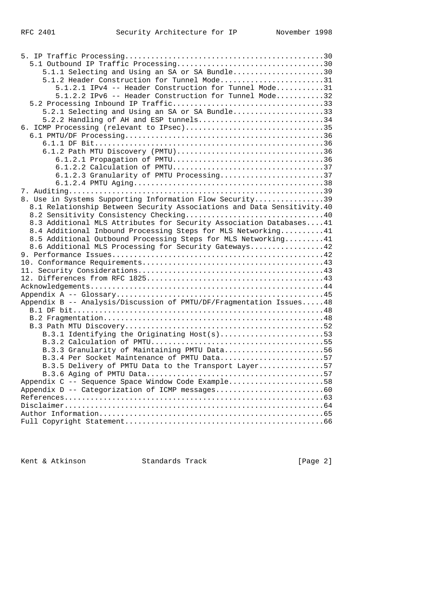| 5.1.1 Selecting and Using an SA or SA Bundle30                          |  |
|-------------------------------------------------------------------------|--|
| 5.1.2 Header Construction for Tunnel Mode31                             |  |
| 5.1.2.1 IPv4 -- Header Construction for Tunnel Mode31                   |  |
| 5.1.2.2 IPv6 -- Header Construction for Tunnel Mode32                   |  |
|                                                                         |  |
| 5.2.1 Selecting and Using an SA or SA Bundle33                          |  |
| 5.2.2 Handling of AH and ESP tunnels34                                  |  |
| 6. ICMP Processing (relevant to IPsec)35                                |  |
|                                                                         |  |
|                                                                         |  |
| 6.1.2 Path MTU Discovery (PMTU)36                                       |  |
|                                                                         |  |
|                                                                         |  |
| 6.1.2.3 Granularity of PMTU Processing37                                |  |
|                                                                         |  |
|                                                                         |  |
| 8. Use in Systems Supporting Information Flow Security39                |  |
| 8.1 Relationship Between Security Associations and Data Sensitivity. 40 |  |
|                                                                         |  |
| 8.3 Additional MLS Attributes for Security Association Databases41      |  |
| 8.4 Additional Inbound Processing Steps for MLS Networking41            |  |
| 8.5 Additional Outbound Processing Steps for MLS Networking41           |  |
| 8.6 Additional MLS Processing for Security Gateways42                   |  |
|                                                                         |  |
|                                                                         |  |
|                                                                         |  |
|                                                                         |  |
|                                                                         |  |
|                                                                         |  |
| Appendix B -- Analysis/Discussion of PMTU/DF/Fragmentation Issues48     |  |
|                                                                         |  |
|                                                                         |  |
|                                                                         |  |
| B.3.1 Identifying the Originating Host(s)53                             |  |
|                                                                         |  |
| B.3.3 Granularity of Maintaining PMTU Data56                            |  |
| B.3.4 Per Socket Maintenance of PMTU Data57                             |  |
| B.3.5 Delivery of PMTU Data to the Transport Layer57                    |  |
|                                                                         |  |
| Appendix C -- Sequence Space Window Code Example58                      |  |
|                                                                         |  |
|                                                                         |  |
|                                                                         |  |
|                                                                         |  |
|                                                                         |  |

Kent & Atkinson Standards Track [Page 2]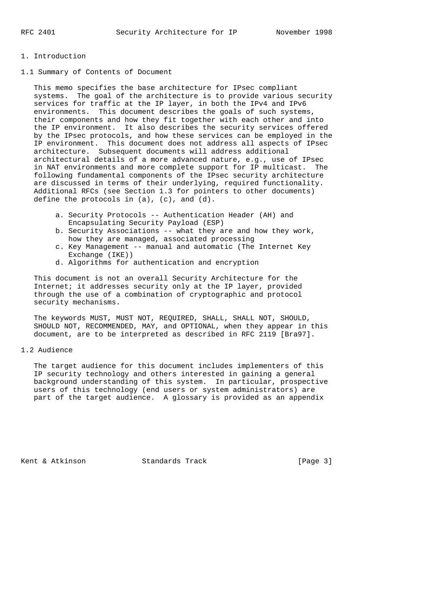# 1. Introduction

1.1 Summary of Contents of Document

 This memo specifies the base architecture for IPsec compliant systems. The goal of the architecture is to provide various security services for traffic at the IP layer, in both the IPv4 and IPv6 environments. This document describes the goals of such systems, their components and how they fit together with each other and into the IP environment. It also describes the security services offered by the IPsec protocols, and how these services can be employed in the IP environment. This document does not address all aspects of IPsec architecture. Subsequent documents will address additional architectural details of a more advanced nature, e.g., use of IPsec in NAT environments and more complete support for IP multicast. The following fundamental components of the IPsec security architecture are discussed in terms of their underlying, required functionality. Additional RFCs (see Section 1.3 for pointers to other documents) define the protocols in (a), (c), and (d).

- a. Security Protocols -- Authentication Header (AH) and Encapsulating Security Payload (ESP)
- b. Security Associations -- what they are and how they work, how they are managed, associated processing
- c. Key Management -- manual and automatic (The Internet Key Exchange (IKE))
- d. Algorithms for authentication and encryption

 This document is not an overall Security Architecture for the Internet; it addresses security only at the IP layer, provided through the use of a combination of cryptographic and protocol security mechanisms.

 The keywords MUST, MUST NOT, REQUIRED, SHALL, SHALL NOT, SHOULD, SHOULD NOT, RECOMMENDED, MAY, and OPTIONAL, when they appear in this document, are to be interpreted as described in RFC 2119 [Bra97].

#### 1.2 Audience

 The target audience for this document includes implementers of this IP security technology and others interested in gaining a general background understanding of this system. In particular, prospective users of this technology (end users or system administrators) are part of the target audience. A glossary is provided as an appendix

Kent & Atkinson Standards Track [Page 3]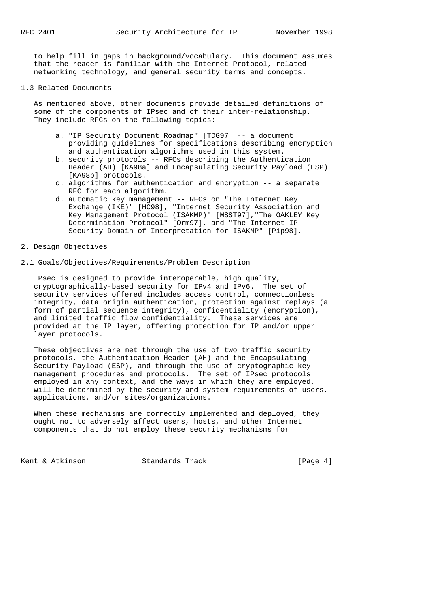to help fill in gaps in background/vocabulary. This document assumes that the reader is familiar with the Internet Protocol, related networking technology, and general security terms and concepts.

#### 1.3 Related Documents

 As mentioned above, other documents provide detailed definitions of some of the components of IPsec and of their inter-relationship. They include RFCs on the following topics:

- a. "IP Security Document Roadmap" [TDG97] -- a document providing guidelines for specifications describing encryption and authentication algorithms used in this system.
- b. security protocols -- RFCs describing the Authentication Header (AH) [KA98a] and Encapsulating Security Payload (ESP) [KA98b] protocols.
- c. algorithms for authentication and encryption -- a separate RFC for each algorithm.
- d. automatic key management -- RFCs on "The Internet Key Exchange (IKE)" [HC98], "Internet Security Association and Key Management Protocol (ISAKMP)" [MSST97],"The OAKLEY Key Determination Protocol" [Orm97], and "The Internet IP Security Domain of Interpretation for ISAKMP" [Pip98].

#### 2. Design Objectives

2.1 Goals/Objectives/Requirements/Problem Description

 IPsec is designed to provide interoperable, high quality, cryptographically-based security for IPv4 and IPv6. The set of security services offered includes access control, connectionless integrity, data origin authentication, protection against replays (a form of partial sequence integrity), confidentiality (encryption), and limited traffic flow confidentiality. These services are provided at the IP layer, offering protection for IP and/or upper layer protocols.

 These objectives are met through the use of two traffic security protocols, the Authentication Header (AH) and the Encapsulating Security Payload (ESP), and through the use of cryptographic key management procedures and protocols. The set of IPsec protocols employed in any context, and the ways in which they are employed, will be determined by the security and system requirements of users, applications, and/or sites/organizations.

 When these mechanisms are correctly implemented and deployed, they ought not to adversely affect users, hosts, and other Internet components that do not employ these security mechanisms for

Kent & Atkinson Standards Track [Page 4]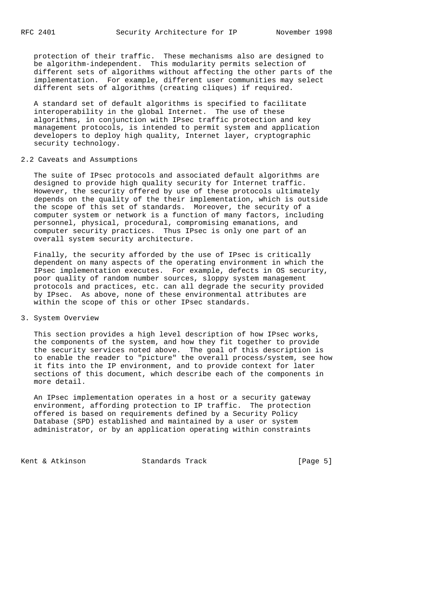protection of their traffic. These mechanisms also are designed to be algorithm-independent. This modularity permits selection of different sets of algorithms without affecting the other parts of the implementation. For example, different user communities may select different sets of algorithms (creating cliques) if required.

 A standard set of default algorithms is specified to facilitate interoperability in the global Internet. The use of these algorithms, in conjunction with IPsec traffic protection and key management protocols, is intended to permit system and application developers to deploy high quality, Internet layer, cryptographic security technology.

#### 2.2 Caveats and Assumptions

 The suite of IPsec protocols and associated default algorithms are designed to provide high quality security for Internet traffic. However, the security offered by use of these protocols ultimately depends on the quality of the their implementation, which is outside the scope of this set of standards. Moreover, the security of a computer system or network is a function of many factors, including personnel, physical, procedural, compromising emanations, and computer security practices. Thus IPsec is only one part of an overall system security architecture.

 Finally, the security afforded by the use of IPsec is critically dependent on many aspects of the operating environment in which the IPsec implementation executes. For example, defects in OS security, poor quality of random number sources, sloppy system management protocols and practices, etc. can all degrade the security provided by IPsec. As above, none of these environmental attributes are within the scope of this or other IPsec standards.

# 3. System Overview

 This section provides a high level description of how IPsec works, the components of the system, and how they fit together to provide the security services noted above. The goal of this description is to enable the reader to "picture" the overall process/system, see how it fits into the IP environment, and to provide context for later sections of this document, which describe each of the components in more detail.

 An IPsec implementation operates in a host or a security gateway environment, affording protection to IP traffic. The protection offered is based on requirements defined by a Security Policy Database (SPD) established and maintained by a user or system administrator, or by an application operating within constraints

Kent & Atkinson Standards Track [Page 5]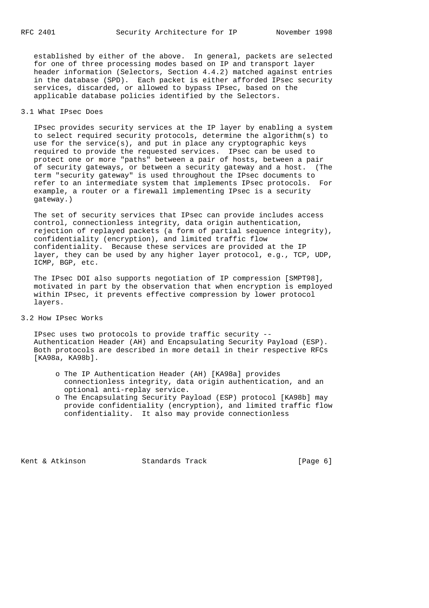established by either of the above. In general, packets are selected for one of three processing modes based on IP and transport layer header information (Selectors, Section 4.4.2) matched against entries in the database (SPD). Each packet is either afforded IPsec security services, discarded, or allowed to bypass IPsec, based on the applicable database policies identified by the Selectors.

## 3.1 What IPsec Does

 IPsec provides security services at the IP layer by enabling a system to select required security protocols, determine the algorithm(s) to use for the service(s), and put in place any cryptographic keys required to provide the requested services. IPsec can be used to protect one or more "paths" between a pair of hosts, between a pair of security gateways, or between a security gateway and a host. (The term "security gateway" is used throughout the IPsec documents to refer to an intermediate system that implements IPsec protocols. For example, a router or a firewall implementing IPsec is a security gateway.)

 The set of security services that IPsec can provide includes access control, connectionless integrity, data origin authentication, rejection of replayed packets (a form of partial sequence integrity), confidentiality (encryption), and limited traffic flow confidentiality. Because these services are provided at the IP layer, they can be used by any higher layer protocol, e.g., TCP, UDP, ICMP, BGP, etc.

 The IPsec DOI also supports negotiation of IP compression [SMPT98], motivated in part by the observation that when encryption is employed within IPsec, it prevents effective compression by lower protocol layers.

# 3.2 How IPsec Works

 IPsec uses two protocols to provide traffic security -- Authentication Header (AH) and Encapsulating Security Payload (ESP). Both protocols are described in more detail in their respective RFCs [KA98a, KA98b].

- o The IP Authentication Header (AH) [KA98a] provides connectionless integrity, data origin authentication, and an optional anti-replay service.
- o The Encapsulating Security Payload (ESP) protocol [KA98b] may provide confidentiality (encryption), and limited traffic flow confidentiality. It also may provide connectionless

Kent & Atkinson Standards Track [Page 6]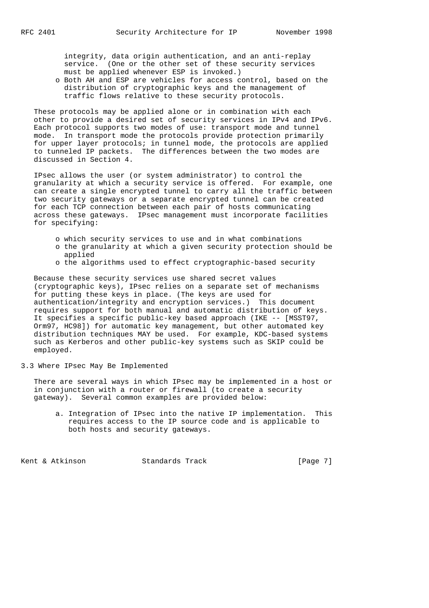integrity, data origin authentication, and an anti-replay service. (One or the other set of these security services must be applied whenever ESP is invoked.)

 o Both AH and ESP are vehicles for access control, based on the distribution of cryptographic keys and the management of traffic flows relative to these security protocols.

 These protocols may be applied alone or in combination with each other to provide a desired set of security services in IPv4 and IPv6. Each protocol supports two modes of use: transport mode and tunnel mode. In transport mode the protocols provide protection primarily for upper layer protocols; in tunnel mode, the protocols are applied to tunneled IP packets. The differences between the two modes are discussed in Section 4.

 IPsec allows the user (or system administrator) to control the granularity at which a security service is offered. For example, one can create a single encrypted tunnel to carry all the traffic between two security gateways or a separate encrypted tunnel can be created for each TCP connection between each pair of hosts communicating across these gateways. IPsec management must incorporate facilities for specifying:

- o which security services to use and in what combinations
- o the granularity at which a given security protection should be applied
- o the algorithms used to effect cryptographic-based security

 Because these security services use shared secret values (cryptographic keys), IPsec relies on a separate set of mechanisms for putting these keys in place. (The keys are used for authentication/integrity and encryption services.) This document requires support for both manual and automatic distribution of keys. It specifies a specific public-key based approach (IKE -- [MSST97, Orm97, HC98]) for automatic key management, but other automated key distribution techniques MAY be used. For example, KDC-based systems such as Kerberos and other public-key systems such as SKIP could be employed.

3.3 Where IPsec May Be Implemented

 There are several ways in which IPsec may be implemented in a host or in conjunction with a router or firewall (to create a security gateway). Several common examples are provided below:

 a. Integration of IPsec into the native IP implementation. This requires access to the IP source code and is applicable to both hosts and security gateways.

Kent & Atkinson Standards Track [Page 7]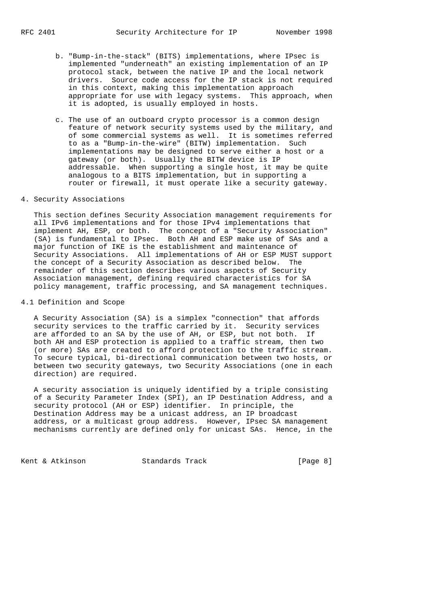- b. "Bump-in-the-stack" (BITS) implementations, where IPsec is implemented "underneath" an existing implementation of an IP protocol stack, between the native IP and the local network drivers. Source code access for the IP stack is not required in this context, making this implementation approach appropriate for use with legacy systems. This approach, when it is adopted, is usually employed in hosts.
	- c. The use of an outboard crypto processor is a common design feature of network security systems used by the military, and of some commercial systems as well. It is sometimes referred to as a "Bump-in-the-wire" (BITW) implementation. Such implementations may be designed to serve either a host or a gateway (or both). Usually the BITW device is IP addressable. When supporting a single host, it may be quite analogous to a BITS implementation, but in supporting a router or firewall, it must operate like a security gateway.

#### 4. Security Associations

 This section defines Security Association management requirements for all IPv6 implementations and for those IPv4 implementations that implement AH, ESP, or both. The concept of a "Security Association" (SA) is fundamental to IPsec. Both AH and ESP make use of SAs and a major function of IKE is the establishment and maintenance of Security Associations. All implementations of AH or ESP MUST support the concept of a Security Association as described below. The remainder of this section describes various aspects of Security Association management, defining required characteristics for SA policy management, traffic processing, and SA management techniques.

# 4.1 Definition and Scope

 A Security Association (SA) is a simplex "connection" that affords security services to the traffic carried by it. Security services are afforded to an SA by the use of AH, or ESP, but not both. If both AH and ESP protection is applied to a traffic stream, then two (or more) SAs are created to afford protection to the traffic stream. To secure typical, bi-directional communication between two hosts, or between two security gateways, two Security Associations (one in each direction) are required.

 A security association is uniquely identified by a triple consisting of a Security Parameter Index (SPI), an IP Destination Address, and a security protocol (AH or ESP) identifier. In principle, the Destination Address may be a unicast address, an IP broadcast address, or a multicast group address. However, IPsec SA management mechanisms currently are defined only for unicast SAs. Hence, in the

Kent & Atkinson Standards Track [Page 8]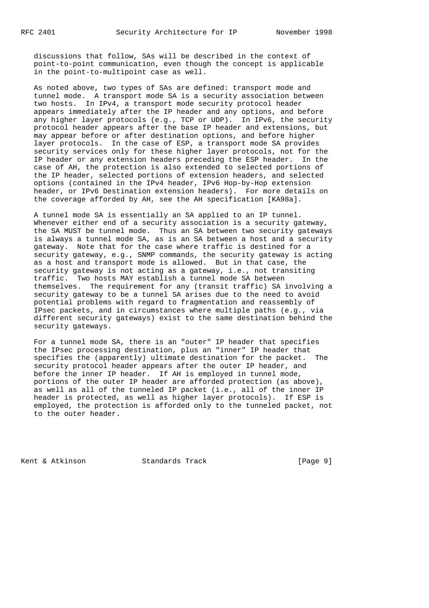discussions that follow, SAs will be described in the context of point-to-point communication, even though the concept is applicable in the point-to-multipoint case as well.

 As noted above, two types of SAs are defined: transport mode and tunnel mode. A transport mode SA is a security association between two hosts. In IPv4, a transport mode security protocol header appears immediately after the IP header and any options, and before any higher layer protocols (e.g., TCP or UDP). In IPv6, the security protocol header appears after the base IP header and extensions, but may appear before or after destination options, and before higher layer protocols. In the case of ESP, a transport mode SA provides security services only for these higher layer protocols, not for the IP header or any extension headers preceding the ESP header. In the case of AH, the protection is also extended to selected portions of the IP header, selected portions of extension headers, and selected options (contained in the IPv4 header, IPv6 Hop-by-Hop extension header, or IPv6 Destination extension headers). For more details on the coverage afforded by AH, see the AH specification [KA98a].

 A tunnel mode SA is essentially an SA applied to an IP tunnel. Whenever either end of a security association is a security gateway, the SA MUST be tunnel mode. Thus an SA between two security gateways is always a tunnel mode SA, as is an SA between a host and a security gateway. Note that for the case where traffic is destined for a security gateway, e.g., SNMP commands, the security gateway is acting as a host and transport mode is allowed. But in that case, the security gateway is not acting as a gateway, i.e., not transiting traffic. Two hosts MAY establish a tunnel mode SA between themselves. The requirement for any (transit traffic) SA involving a security gateway to be a tunnel SA arises due to the need to avoid potential problems with regard to fragmentation and reassembly of IPsec packets, and in circumstances where multiple paths (e.g., via different security gateways) exist to the same destination behind the security gateways.

 For a tunnel mode SA, there is an "outer" IP header that specifies the IPsec processing destination, plus an "inner" IP header that specifies the (apparently) ultimate destination for the packet. The security protocol header appears after the outer IP header, and before the inner IP header. If AH is employed in tunnel mode, portions of the outer IP header are afforded protection (as above), as well as all of the tunneled IP packet (i.e., all of the inner IP header is protected, as well as higher layer protocols). If ESP is employed, the protection is afforded only to the tunneled packet, not to the outer header.

Kent & Atkinson Standards Track [Page 9]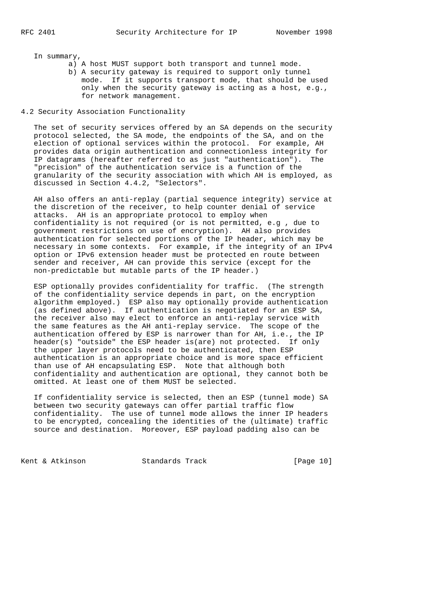In summary,

- a) A host MUST support both transport and tunnel mode.
- b) A security gateway is required to support only tunnel mode. If it supports transport mode, that should be used only when the security gateway is acting as a host, e.g., for network management.

### 4.2 Security Association Functionality

 The set of security services offered by an SA depends on the security protocol selected, the SA mode, the endpoints of the SA, and on the election of optional services within the protocol. For example, AH provides data origin authentication and connectionless integrity for IP datagrams (hereafter referred to as just "authentication"). The "precision" of the authentication service is a function of the granularity of the security association with which AH is employed, as discussed in Section 4.4.2, "Selectors".

 AH also offers an anti-replay (partial sequence integrity) service at the discretion of the receiver, to help counter denial of service attacks. AH is an appropriate protocol to employ when confidentiality is not required (or is not permitted, e.g , due to government restrictions on use of encryption). AH also provides authentication for selected portions of the IP header, which may be necessary in some contexts. For example, if the integrity of an IPv4 option or IPv6 extension header must be protected en route between sender and receiver, AH can provide this service (except for the non-predictable but mutable parts of the IP header.)

 ESP optionally provides confidentiality for traffic. (The strength of the confidentiality service depends in part, on the encryption algorithm employed.) ESP also may optionally provide authentication (as defined above). If authentication is negotiated for an ESP SA, the receiver also may elect to enforce an anti-replay service with the same features as the AH anti-replay service. The scope of the authentication offered by ESP is narrower than for AH, i.e., the IP header(s) "outside" the ESP header is(are) not protected. If only the upper layer protocols need to be authenticated, then ESP authentication is an appropriate choice and is more space efficient than use of AH encapsulating ESP. Note that although both confidentiality and authentication are optional, they cannot both be omitted. At least one of them MUST be selected.

 If confidentiality service is selected, then an ESP (tunnel mode) SA between two security gateways can offer partial traffic flow confidentiality. The use of tunnel mode allows the inner IP headers to be encrypted, concealing the identities of the (ultimate) traffic source and destination. Moreover, ESP payload padding also can be

Kent & Atkinson Standards Track [Page 10]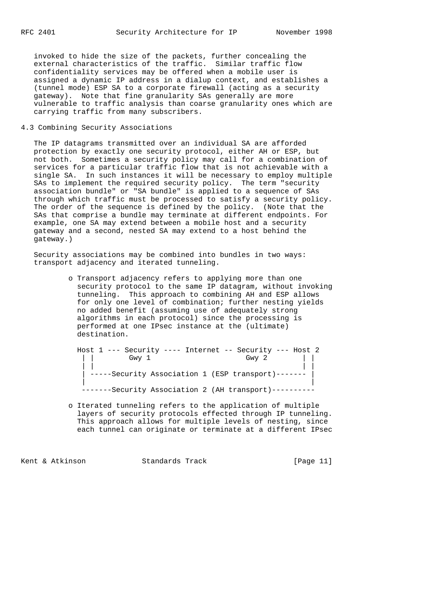invoked to hide the size of the packets, further concealing the external characteristics of the traffic. Similar traffic flow confidentiality services may be offered when a mobile user is assigned a dynamic IP address in a dialup context, and establishes a (tunnel mode) ESP SA to a corporate firewall (acting as a security gateway). Note that fine granularity SAs generally are more vulnerable to traffic analysis than coarse granularity ones which are carrying traffic from many subscribers.

4.3 Combining Security Associations

 The IP datagrams transmitted over an individual SA are afforded protection by exactly one security protocol, either AH or ESP, but not both. Sometimes a security policy may call for a combination of services for a particular traffic flow that is not achievable with a single SA. In such instances it will be necessary to employ multiple SAs to implement the required security policy. The term "security association bundle" or "SA bundle" is applied to a sequence of SAs through which traffic must be processed to satisfy a security policy. The order of the sequence is defined by the policy. (Note that the SAs that comprise a bundle may terminate at different endpoints. For example, one SA may extend between a mobile host and a security gateway and a second, nested SA may extend to a host behind the gateway.)

 Security associations may be combined into bundles in two ways: transport adjacency and iterated tunneling.

> o Transport adjacency refers to applying more than one security protocol to the same IP datagram, without invoking tunneling. This approach to combining AH and ESP allows for only one level of combination; further nesting yields no added benefit (assuming use of adequately strong algorithms in each protocol) since the processing is performed at one IPsec instance at the (ultimate) destination.

 Host 1 --- Security ---- Internet -- Security --- Host 2 | | Gwy 1 Gwy 2 | | | | | | | -----Security Association 1 (ESP transport)------- | | | -------Security Association 2 (AH transport)----------

> o Iterated tunneling refers to the application of multiple layers of security protocols effected through IP tunneling. This approach allows for multiple levels of nesting, since each tunnel can originate or terminate at a different IPsec

Kent & Atkinson Standards Track [Page 11]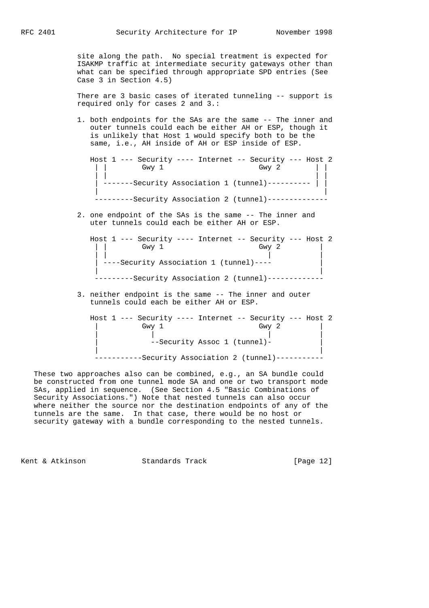site along the path. No special treatment is expected for ISAKMP traffic at intermediate security gateways other than what can be specified through appropriate SPD entries (See Case 3 in Section 4.5)

 There are 3 basic cases of iterated tunneling -- support is required only for cases 2 and 3.:

 1. both endpoints for the SAs are the same -- The inner and outer tunnels could each be either AH or ESP, though it is unlikely that Host 1 would specify both to be the same, i.e., AH inside of AH or ESP inside of ESP.

 Host 1 --- Security ---- Internet -- Security --- Host 2 | | Gwy 1 Gwy 2 | | | | | | | -------Security Association 1 (tunnel)---------- | | | | ---------Security Association 2 (tunnel)--------------

> 2. one endpoint of the SAs is the same -- The inner and uter tunnels could each be either AH or ESP.

 Host 1 --- Security ---- Internet -- Security --- Host 2 | | Gwy 1 Gwy 2 | | | | | | ----Security Association 1 (tunnel)---- | | | ---------Security Association 2 (tunnel)-------------

> 3. neither endpoint is the same -- The inner and outer tunnels could each be either AH or ESP.

 Host 1 --- Security ---- Internet -- Security --- Host 2 | Gwy 1 Gwy 2 | | | | | --Security Assoc 1 (tunnel)- | | -----------Security Association 2 (tunnel)-----------

 These two approaches also can be combined, e.g., an SA bundle could be constructed from one tunnel mode SA and one or two transport mode SAs, applied in sequence. (See Section 4.5 "Basic Combinations of Security Associations.") Note that nested tunnels can also occur where neither the source nor the destination endpoints of any of the tunnels are the same. In that case, there would be no host or security gateway with a bundle corresponding to the nested tunnels.

Kent & Atkinson Standards Track [Page 12]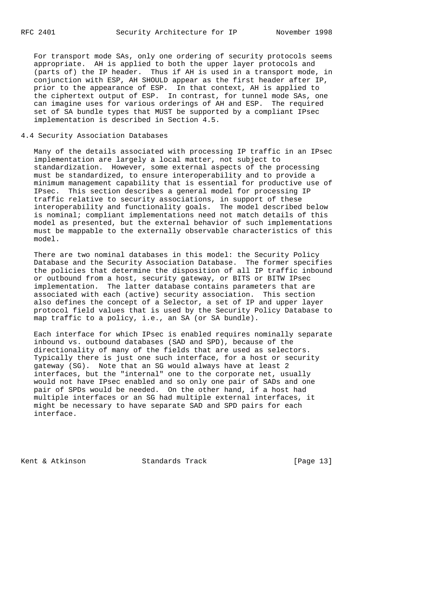For transport mode SAs, only one ordering of security protocols seems appropriate. AH is applied to both the upper layer protocols and (parts of) the IP header. Thus if AH is used in a transport mode, in conjunction with ESP, AH SHOULD appear as the first header after IP, prior to the appearance of ESP. In that context, AH is applied to the ciphertext output of ESP. In contrast, for tunnel mode SAs, one can imagine uses for various orderings of AH and ESP. The required set of SA bundle types that MUST be supported by a compliant IPsec implementation is described in Section 4.5.

## 4.4 Security Association Databases

 Many of the details associated with processing IP traffic in an IPsec implementation are largely a local matter, not subject to standardization. However, some external aspects of the processing must be standardized, to ensure interoperability and to provide a minimum management capability that is essential for productive use of IPsec. This section describes a general model for processing IP traffic relative to security associations, in support of these interoperability and functionality goals. The model described below is nominal; compliant implementations need not match details of this model as presented, but the external behavior of such implementations must be mappable to the externally observable characteristics of this model.

 There are two nominal databases in this model: the Security Policy Database and the Security Association Database. The former specifies the policies that determine the disposition of all IP traffic inbound or outbound from a host, security gateway, or BITS or BITW IPsec implementation. The latter database contains parameters that are associated with each (active) security association. This section also defines the concept of a Selector, a set of IP and upper layer protocol field values that is used by the Security Policy Database to map traffic to a policy, i.e., an SA (or SA bundle).

 Each interface for which IPsec is enabled requires nominally separate inbound vs. outbound databases (SAD and SPD), because of the directionality of many of the fields that are used as selectors. Typically there is just one such interface, for a host or security gateway (SG). Note that an SG would always have at least 2 interfaces, but the "internal" one to the corporate net, usually would not have IPsec enabled and so only one pair of SADs and one pair of SPDs would be needed. On the other hand, if a host had multiple interfaces or an SG had multiple external interfaces, it might be necessary to have separate SAD and SPD pairs for each interface.

Kent & Atkinson Standards Track [Page 13]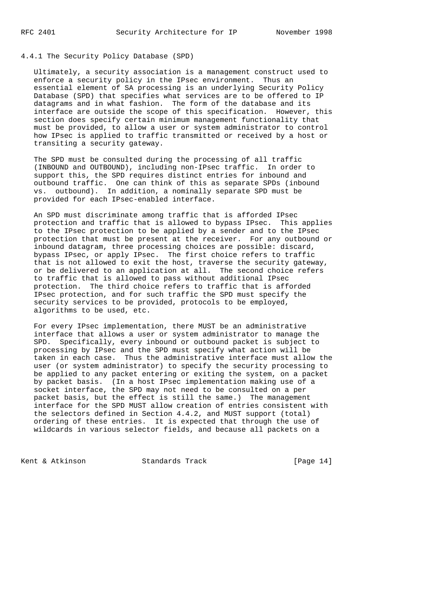# 4.4.1 The Security Policy Database (SPD)

 Ultimately, a security association is a management construct used to enforce a security policy in the IPsec environment. Thus an essential element of SA processing is an underlying Security Policy Database (SPD) that specifies what services are to be offered to IP datagrams and in what fashion. The form of the database and its interface are outside the scope of this specification. However, this section does specify certain minimum management functionality that must be provided, to allow a user or system administrator to control how IPsec is applied to traffic transmitted or received by a host or transiting a security gateway.

 The SPD must be consulted during the processing of all traffic (INBOUND and OUTBOUND), including non-IPsec traffic. In order to support this, the SPD requires distinct entries for inbound and outbound traffic. One can think of this as separate SPDs (inbound vs. outbound). In addition, a nominally separate SPD must be provided for each IPsec-enabled interface.

 An SPD must discriminate among traffic that is afforded IPsec protection and traffic that is allowed to bypass IPsec. This applies to the IPsec protection to be applied by a sender and to the IPsec protection that must be present at the receiver. For any outbound or inbound datagram, three processing choices are possible: discard, bypass IPsec, or apply IPsec. The first choice refers to traffic that is not allowed to exit the host, traverse the security gateway, or be delivered to an application at all. The second choice refers to traffic that is allowed to pass without additional IPsec protection. The third choice refers to traffic that is afforded IPsec protection, and for such traffic the SPD must specify the security services to be provided, protocols to be employed, algorithms to be used, etc.

 For every IPsec implementation, there MUST be an administrative interface that allows a user or system administrator to manage the SPD. Specifically, every inbound or outbound packet is subject to processing by IPsec and the SPD must specify what action will be taken in each case. Thus the administrative interface must allow the user (or system administrator) to specify the security processing to be applied to any packet entering or exiting the system, on a packet by packet basis. (In a host IPsec implementation making use of a socket interface, the SPD may not need to be consulted on a per packet basis, but the effect is still the same.) The management interface for the SPD MUST allow creation of entries consistent with the selectors defined in Section 4.4.2, and MUST support (total) ordering of these entries. It is expected that through the use of wildcards in various selector fields, and because all packets on a

Kent & Atkinson Standards Track [Page 14]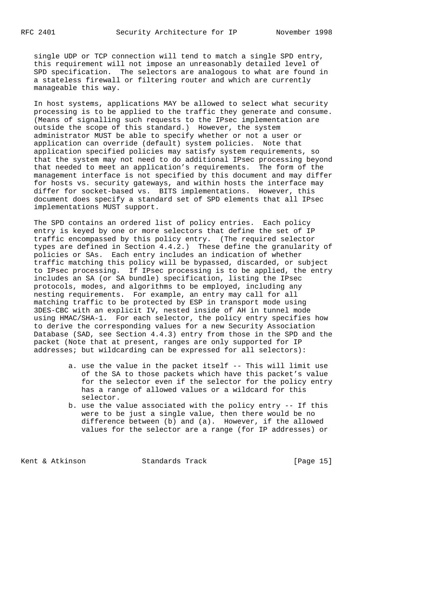single UDP or TCP connection will tend to match a single SPD entry, this requirement will not impose an unreasonably detailed level of SPD specification. The selectors are analogous to what are found in a stateless firewall or filtering router and which are currently manageable this way.

 In host systems, applications MAY be allowed to select what security processing is to be applied to the traffic they generate and consume. (Means of signalling such requests to the IPsec implementation are outside the scope of this standard.) However, the system administrator MUST be able to specify whether or not a user or application can override (default) system policies. Note that application specified policies may satisfy system requirements, so that the system may not need to do additional IPsec processing beyond that needed to meet an application's requirements. The form of the management interface is not specified by this document and may differ for hosts vs. security gateways, and within hosts the interface may differ for socket-based vs. BITS implementations. However, this document does specify a standard set of SPD elements that all IPsec implementations MUST support.

 The SPD contains an ordered list of policy entries. Each policy entry is keyed by one or more selectors that define the set of IP traffic encompassed by this policy entry. (The required selector types are defined in Section 4.4.2.) These define the granularity of policies or SAs. Each entry includes an indication of whether traffic matching this policy will be bypassed, discarded, or subject to IPsec processing. If IPsec processing is to be applied, the entry includes an SA (or SA bundle) specification, listing the IPsec protocols, modes, and algorithms to be employed, including any nesting requirements. For example, an entry may call for all matching traffic to be protected by ESP in transport mode using 3DES-CBC with an explicit IV, nested inside of AH in tunnel mode using HMAC/SHA-1. For each selector, the policy entry specifies how to derive the corresponding values for a new Security Association Database (SAD, see Section 4.4.3) entry from those in the SPD and the packet (Note that at present, ranges are only supported for IP addresses; but wildcarding can be expressed for all selectors):

- a. use the value in the packet itself -- This will limit use of the SA to those packets which have this packet's value for the selector even if the selector for the policy entry has a range of allowed values or a wildcard for this selector.
- b. use the value associated with the policy entry -- If this were to be just a single value, then there would be no difference between (b) and (a). However, if the allowed values for the selector are a range (for IP addresses) or

Kent & Atkinson Standards Track [Page 15]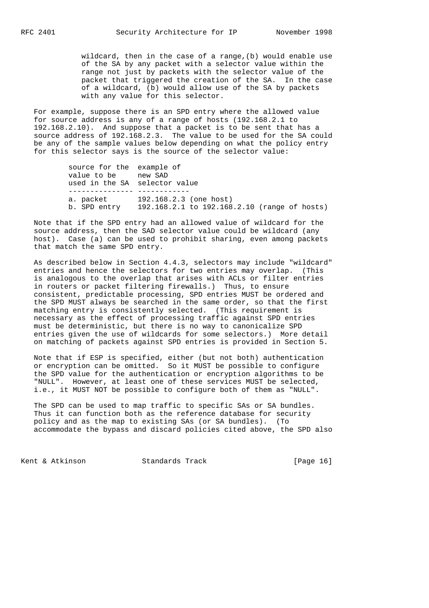wildcard, then in the case of a range,(b) would enable use of the SA by any packet with a selector value within the range not just by packets with the selector value of the packet that triggered the creation of the SA. In the case of a wildcard, (b) would allow use of the SA by packets with any value for this selector.

 For example, suppose there is an SPD entry where the allowed value for source address is any of a range of hosts (192.168.2.1 to 192.168.2.10). And suppose that a packet is to be sent that has a source address of 192.168.2.3. The value to be used for the SA could be any of the sample values below depending on what the policy entry for this selector says is the source of the selector value:

| source for the example of<br>value to be new SAD<br>used in the SA selector value |                                                               |  |
|-----------------------------------------------------------------------------------|---------------------------------------------------------------|--|
|                                                                                   |                                                               |  |
| a. packet                                                                         | 192.168.2.3 (one host)                                        |  |
|                                                                                   | b. SPD entry $192.168.2.1$ to $192.168.2.10$ (range of hosts) |  |

 Note that if the SPD entry had an allowed value of wildcard for the source address, then the SAD selector value could be wildcard (any host). Case (a) can be used to prohibit sharing, even among packets that match the same SPD entry.

 As described below in Section 4.4.3, selectors may include "wildcard" entries and hence the selectors for two entries may overlap. (This is analogous to the overlap that arises with ACLs or filter entries in routers or packet filtering firewalls.) Thus, to ensure consistent, predictable processing, SPD entries MUST be ordered and the SPD MUST always be searched in the same order, so that the first matching entry is consistently selected. (This requirement is necessary as the effect of processing traffic against SPD entries must be deterministic, but there is no way to canonicalize SPD entries given the use of wildcards for some selectors.) More detail on matching of packets against SPD entries is provided in Section 5.

 Note that if ESP is specified, either (but not both) authentication or encryption can be omitted. So it MUST be possible to configure the SPD value for the authentication or encryption algorithms to be "NULL". However, at least one of these services MUST be selected, i.e., it MUST NOT be possible to configure both of them as "NULL".

 The SPD can be used to map traffic to specific SAs or SA bundles. Thus it can function both as the reference database for security policy and as the map to existing SAs (or SA bundles). (To accommodate the bypass and discard policies cited above, the SPD also

Kent & Atkinson Standards Track [Page 16]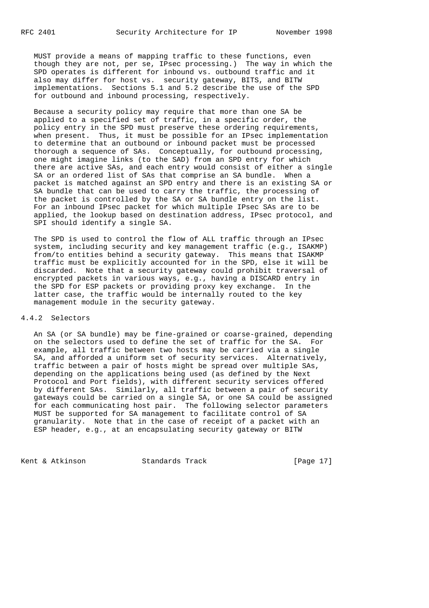MUST provide a means of mapping traffic to these functions, even though they are not, per se, IPsec processing.) The way in which the SPD operates is different for inbound vs. outbound traffic and it also may differ for host vs. security gateway, BITS, and BITW implementations. Sections 5.1 and 5.2 describe the use of the SPD for outbound and inbound processing, respectively.

 Because a security policy may require that more than one SA be applied to a specified set of traffic, in a specific order, the policy entry in the SPD must preserve these ordering requirements, when present. Thus, it must be possible for an IPsec implementation to determine that an outbound or inbound packet must be processed thorough a sequence of SAs. Conceptually, for outbound processing, one might imagine links (to the SAD) from an SPD entry for which there are active SAs, and each entry would consist of either a single SA or an ordered list of SAs that comprise an SA bundle. When a packet is matched against an SPD entry and there is an existing SA or SA bundle that can be used to carry the traffic, the processing of the packet is controlled by the SA or SA bundle entry on the list. For an inbound IPsec packet for which multiple IPsec SAs are to be applied, the lookup based on destination address, IPsec protocol, and SPI should identify a single SA.

 The SPD is used to control the flow of ALL traffic through an IPsec system, including security and key management traffic (e.g., ISAKMP) from/to entities behind a security gateway. This means that ISAKMP traffic must be explicitly accounted for in the SPD, else it will be discarded. Note that a security gateway could prohibit traversal of encrypted packets in various ways, e.g., having a DISCARD entry in the SPD for ESP packets or providing proxy key exchange. In the latter case, the traffic would be internally routed to the key management module in the security gateway.

# 4.4.2 Selectors

 An SA (or SA bundle) may be fine-grained or coarse-grained, depending on the selectors used to define the set of traffic for the SA. For example, all traffic between two hosts may be carried via a single SA, and afforded a uniform set of security services. Alternatively, traffic between a pair of hosts might be spread over multiple SAs, depending on the applications being used (as defined by the Next Protocol and Port fields), with different security services offered by different SAs. Similarly, all traffic between a pair of security gateways could be carried on a single SA, or one SA could be assigned for each communicating host pair. The following selector parameters MUST be supported for SA management to facilitate control of SA granularity. Note that in the case of receipt of a packet with an ESP header, e.g., at an encapsulating security gateway or BITW

Kent & Atkinson Standards Track [Page 17]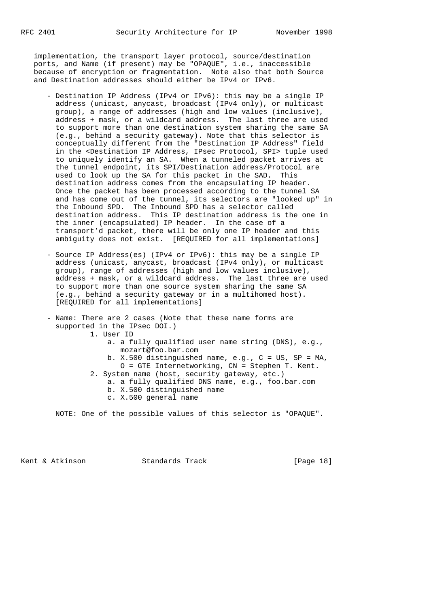implementation, the transport layer protocol, source/destination ports, and Name (if present) may be "OPAQUE", i.e., inaccessible because of encryption or fragmentation. Note also that both Source and Destination addresses should either be IPv4 or IPv6.

- Destination IP Address (IPv4 or IPv6): this may be a single IP address (unicast, anycast, broadcast (IPv4 only), or multicast group), a range of addresses (high and low values (inclusive), address + mask, or a wildcard address. The last three are used to support more than one destination system sharing the same SA (e.g., behind a security gateway). Note that this selector is conceptually different from the "Destination IP Address" field in the <Destination IP Address, IPsec Protocol, SPI> tuple used to uniquely identify an SA. When a tunneled packet arrives at the tunnel endpoint, its SPI/Destination address/Protocol are used to look up the SA for this packet in the SAD. This destination address comes from the encapsulating IP header. Once the packet has been processed according to the tunnel SA and has come out of the tunnel, its selectors are "looked up" in the Inbound SPD. The Inbound SPD has a selector called destination address. This IP destination address is the one in the inner (encapsulated) IP header. In the case of a transport'd packet, there will be only one IP header and this ambiguity does not exist. [REQUIRED for all implementations]
- Source IP Address(es) (IPv4 or IPv6): this may be a single IP address (unicast, anycast, broadcast (IPv4 only), or multicast group), range of addresses (high and low values inclusive), address + mask, or a wildcard address. The last three are used to support more than one source system sharing the same SA (e.g., behind a security gateway or in a multihomed host). [REQUIRED for all implementations]
- Name: There are 2 cases (Note that these name forms are supported in the IPsec DOI.)
	- 1. User ID
		- a. a fully qualified user name string (DNS), e.g., mozart@foo.bar.com
		- b. X.500 distinguished name, e.g., C = US, SP = MA, O = GTE Internetworking, CN = Stephen T. Kent.
	- 2. System name (host, security gateway, etc.)
		- a. a fully qualified DNS name, e.g., foo.bar.com
		- b. X.500 distinguished name
		- c. X.500 general name

NOTE: One of the possible values of this selector is "OPAQUE".

Kent & Atkinson Standards Track [Page 18]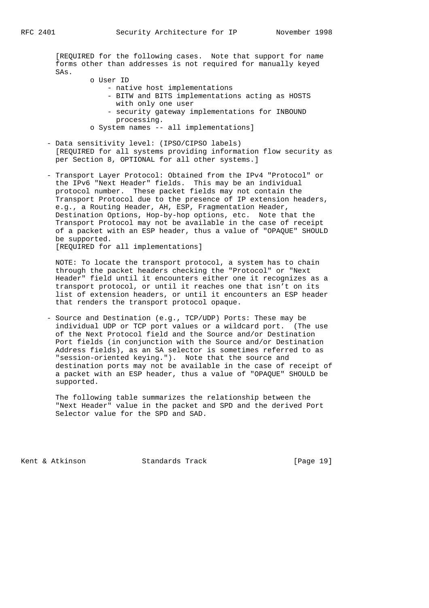[REQUIRED for the following cases. Note that support for name forms other than addresses is not required for manually keyed SAs.

- o User ID
	- native host implementations
	- BITW and BITS implementations acting as HOSTS with only one user
	- security gateway implementations for INBOUND processing.
	- o System names -- all implementations]
- Data sensitivity level: (IPSO/CIPSO labels) [REQUIRED for all systems providing information flow security as per Section 8, OPTIONAL for all other systems.]
- Transport Layer Protocol: Obtained from the IPv4 "Protocol" or the IPv6 "Next Header" fields. This may be an individual protocol number. These packet fields may not contain the Transport Protocol due to the presence of IP extension headers, e.g., a Routing Header, AH, ESP, Fragmentation Header, Destination Options, Hop-by-hop options, etc. Note that the Transport Protocol may not be available in the case of receipt of a packet with an ESP header, thus a value of "OPAQUE" SHOULD be supported.

[REQUIRED for all implementations]

 NOTE: To locate the transport protocol, a system has to chain through the packet headers checking the "Protocol" or "Next Header" field until it encounters either one it recognizes as a transport protocol, or until it reaches one that isn't on its list of extension headers, or until it encounters an ESP header that renders the transport protocol opaque.

 - Source and Destination (e.g., TCP/UDP) Ports: These may be individual UDP or TCP port values or a wildcard port. (The use of the Next Protocol field and the Source and/or Destination Port fields (in conjunction with the Source and/or Destination Address fields), as an SA selector is sometimes referred to as "session-oriented keying."). Note that the source and destination ports may not be available in the case of receipt of a packet with an ESP header, thus a value of "OPAQUE" SHOULD be supported.

 The following table summarizes the relationship between the "Next Header" value in the packet and SPD and the derived Port Selector value for the SPD and SAD.

Kent & Atkinson Standards Track [Page 19]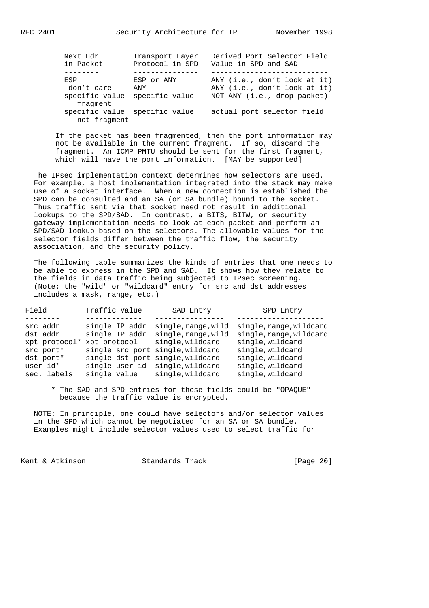| Next Hdr     | Transport Layer               | Derived Port Selector Field  |
|--------------|-------------------------------|------------------------------|
| in Packet    | Protocol in SPD               | Value in SPD and SAD         |
|              |                               |                              |
| ESP          | ESP or ANY                    | ANY (i.e., don't look at it) |
| -don't care- | ANY                           | ANY (i.e., don't look at it) |
| fragment     | specific value specific value | NOT ANY (i.e., drop packet)  |
| not fragment | specific value specific value |                              |

 If the packet has been fragmented, then the port information may not be available in the current fragment. If so, discard the fragment. An ICMP PMTU should be sent for the first fragment, which will have the port information. [MAY be supported]

 The IPsec implementation context determines how selectors are used. For example, a host implementation integrated into the stack may make use of a socket interface. When a new connection is established the SPD can be consulted and an SA (or SA bundle) bound to the socket. Thus traffic sent via that socket need not result in additional lookups to the SPD/SAD. In contrast, a BITS, BITW, or security gateway implementation needs to look at each packet and perform an SPD/SAD lookup based on the selectors. The allowable values for the selector fields differ between the traffic flow, the security association, and the security policy.

 The following table summarizes the kinds of entries that one needs to be able to express in the SPD and SAD. It shows how they relate to the fields in data traffic being subjected to IPsec screening. (Note: the "wild" or "wildcard" entry for src and dst addresses includes a mask, range, etc.)

| Field         | Traffic Value  | SAD Entry                        | SPD Entry               |
|---------------|----------------|----------------------------------|-------------------------|
|               |                |                                  |                         |
| src addr      | single IP addr | single, range, wild              | single, range, wildcard |
| dst addr      | single IP addr | single, range, wild              | single, range, wildcard |
| xpt protocol* | xpt protocol   | single, wildcard                 | single, wildcard        |
| src port*     |                | single src port single, wildcard | single, wildcard        |
| dst port*     |                | single dst port single, wildcard | single, wildcard        |
| user id*      |                | single user id single, wildcard  | single, wildcard        |
| sec. labels   | single value   | single, wildcard                 | single, wildcard        |
|               |                |                                  |                         |

 \* The SAD and SPD entries for these fields could be "OPAQUE" because the traffic value is encrypted.

 NOTE: In principle, one could have selectors and/or selector values in the SPD which cannot be negotiated for an SA or SA bundle. Examples might include selector values used to select traffic for

Kent & Atkinson Standards Track [Page 20]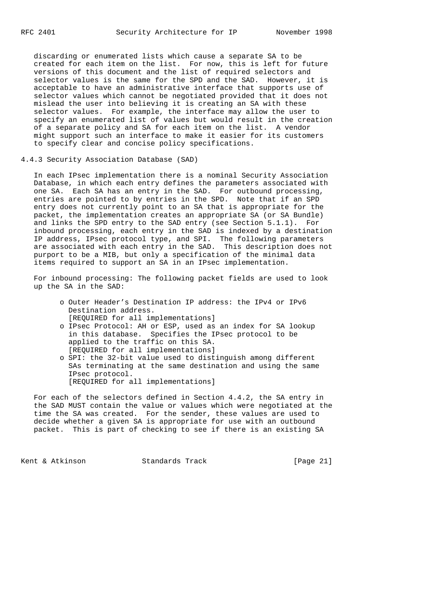discarding or enumerated lists which cause a separate SA to be created for each item on the list. For now, this is left for future versions of this document and the list of required selectors and selector values is the same for the SPD and the SAD. However, it is acceptable to have an administrative interface that supports use of selector values which cannot be negotiated provided that it does not mislead the user into believing it is creating an SA with these selector values. For example, the interface may allow the user to specify an enumerated list of values but would result in the creation of a separate policy and SA for each item on the list. A vendor might support such an interface to make it easier for its customers to specify clear and concise policy specifications.

4.4.3 Security Association Database (SAD)

 In each IPsec implementation there is a nominal Security Association Database, in which each entry defines the parameters associated with one SA. Each SA has an entry in the SAD. For outbound processing, entries are pointed to by entries in the SPD. Note that if an SPD entry does not currently point to an SA that is appropriate for the packet, the implementation creates an appropriate SA (or SA Bundle) and links the SPD entry to the SAD entry (see Section 5.1.1). For inbound processing, each entry in the SAD is indexed by a destination IP address, IPsec protocol type, and SPI. The following parameters are associated with each entry in the SAD. This description does not purport to be a MIB, but only a specification of the minimal data items required to support an SA in an IPsec implementation.

 For inbound processing: The following packet fields are used to look up the SA in the SAD:

- o Outer Header's Destination IP address: the IPv4 or IPv6 Destination address. [REQUIRED for all implementations]
- o IPsec Protocol: AH or ESP, used as an index for SA lookup in this database. Specifies the IPsec protocol to be applied to the traffic on this SA. [REQUIRED for all implementations]
- o SPI: the 32-bit value used to distinguish among different SAs terminating at the same destination and using the same IPsec protocol.

[REQUIRED for all implementations]

 For each of the selectors defined in Section 4.4.2, the SA entry in the SAD MUST contain the value or values which were negotiated at the time the SA was created. For the sender, these values are used to decide whether a given SA is appropriate for use with an outbound packet. This is part of checking to see if there is an existing SA

Kent & Atkinson Standards Track [Page 21]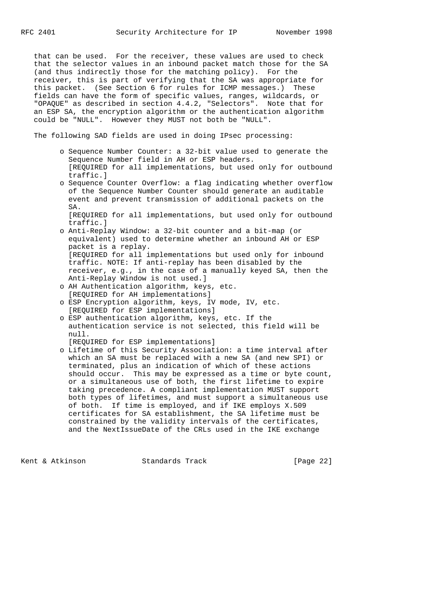that can be used. For the receiver, these values are used to check that the selector values in an inbound packet match those for the SA (and thus indirectly those for the matching policy). For the receiver, this is part of verifying that the SA was appropriate for this packet. (See Section 6 for rules for ICMP messages.) These fields can have the form of specific values, ranges, wildcards, or "OPAQUE" as described in section 4.4.2, "Selectors". Note that for an ESP SA, the encryption algorithm or the authentication algorithm could be "NULL". However they MUST not both be "NULL".

The following SAD fields are used in doing IPsec processing:

- o Sequence Number Counter: a 32-bit value used to generate the Sequence Number field in AH or ESP headers. [REQUIRED for all implementations, but used only for outbound traffic.]
- o Sequence Counter Overflow: a flag indicating whether overflow of the Sequence Number Counter should generate an auditable event and prevent transmission of additional packets on the SA.

 [REQUIRED for all implementations, but used only for outbound traffic.]

- o Anti-Replay Window: a 32-bit counter and a bit-map (or equivalent) used to determine whether an inbound AH or ESP packet is a replay. [REQUIRED for all implementations but used only for inbound traffic. NOTE: If anti-replay has been disabled by the receiver, e.g., in the case of a manually keyed SA, then the Anti-Replay Window is not used.]
- o AH Authentication algorithm, keys, etc. [REQUIRED for AH implementations]
- o ESP Encryption algorithm, keys, IV mode, IV, etc. [REQUIRED for ESP implementations]
- o ESP authentication algorithm, keys, etc. If the authentication service is not selected, this field will be null.

[REQUIRED for ESP implementations]

 o Lifetime of this Security Association: a time interval after which an SA must be replaced with a new SA (and new SPI) or terminated, plus an indication of which of these actions should occur. This may be expressed as a time or byte count, or a simultaneous use of both, the first lifetime to expire taking precedence. A compliant implementation MUST support both types of lifetimes, and must support a simultaneous use of both. If time is employed, and if IKE employs X.509 certificates for SA establishment, the SA lifetime must be constrained by the validity intervals of the certificates, and the NextIssueDate of the CRLs used in the IKE exchange

Kent & Atkinson Standards Track [Page 22]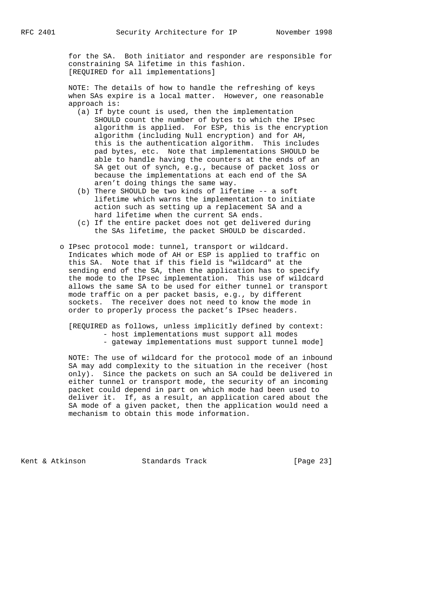for the SA. Both initiator and responder are responsible for constraining SA lifetime in this fashion. [REQUIRED for all implementations]

 NOTE: The details of how to handle the refreshing of keys when SAs expire is a local matter. However, one reasonable approach is:

- (a) If byte count is used, then the implementation SHOULD count the number of bytes to which the IPsec algorithm is applied. For ESP, this is the encryption algorithm (including Null encryption) and for AH, this is the authentication algorithm. This includes pad bytes, etc. Note that implementations SHOULD be able to handle having the counters at the ends of an SA get out of synch, e.g., because of packet loss or because the implementations at each end of the SA aren't doing things the same way.
- (b) There SHOULD be two kinds of lifetime -- a soft lifetime which warns the implementation to initiate action such as setting up a replacement SA and a hard lifetime when the current SA ends.
- (c) If the entire packet does not get delivered during the SAs lifetime, the packet SHOULD be discarded.
- o IPsec protocol mode: tunnel, transport or wildcard. Indicates which mode of AH or ESP is applied to traffic on this SA. Note that if this field is "wildcard" at the sending end of the SA, then the application has to specify the mode to the IPsec implementation. This use of wildcard allows the same SA to be used for either tunnel or transport mode traffic on a per packet basis, e.g., by different sockets. The receiver does not need to know the mode in order to properly process the packet's IPsec headers.

 [REQUIRED as follows, unless implicitly defined by context: - host implementations must support all modes - gateway implementations must support tunnel mode]

 NOTE: The use of wildcard for the protocol mode of an inbound SA may add complexity to the situation in the receiver (host only). Since the packets on such an SA could be delivered in either tunnel or transport mode, the security of an incoming packet could depend in part on which mode had been used to deliver it. If, as a result, an application cared about the SA mode of a given packet, then the application would need a mechanism to obtain this mode information.

Kent & Atkinson Standards Track [Page 23]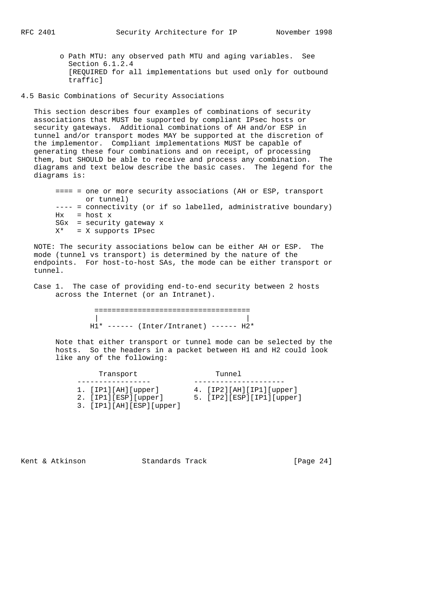o Path MTU: any observed path MTU and aging variables. See Section 6.1.2.4 [REQUIRED for all implementations but used only for outbound traffic]

4.5 Basic Combinations of Security Associations

 This section describes four examples of combinations of security associations that MUST be supported by compliant IPsec hosts or security gateways. Additional combinations of AH and/or ESP in tunnel and/or transport modes MAY be supported at the discretion of the implementor. Compliant implementations MUST be capable of generating these four combinations and on receipt, of processing them, but SHOULD be able to receive and process any combination. The diagrams and text below describe the basic cases. The legend for the diagrams is:

 ==== = one or more security associations (AH or ESP, transport or tunnel) ---- = connectivity (or if so labelled, administrative boundary)  $Hx = host x$  SGx = security gateway x  $X^*$  = X supports IPsec

 NOTE: The security associations below can be either AH or ESP. The mode (tunnel vs transport) is determined by the nature of the endpoints. For host-to-host SAs, the mode can be either transport or tunnel.

 Case 1. The case of providing end-to-end security between 2 hosts across the Internet (or an Intranet).

 ==================================== | | H1\* ------ (Inter/Intranet) ------ H2\*

> Note that either transport or tunnel mode can be selected by the hosts. So the headers in a packet between H1 and H2 could look like any of the following:

| Transport                                       | Tunnel                                                    |
|-------------------------------------------------|-----------------------------------------------------------|
| $1.$ [IP1][AH][upper]<br>2. $[IP1][ESP][upper]$ | 4. $[IP2][AH][IP1][upper]$<br>5. $[IP2][ESP][IP1][upper]$ |
| $3.$ [IP1][AH][ESP][upper]                      |                                                           |

Kent & Atkinson Standards Track [Page 24]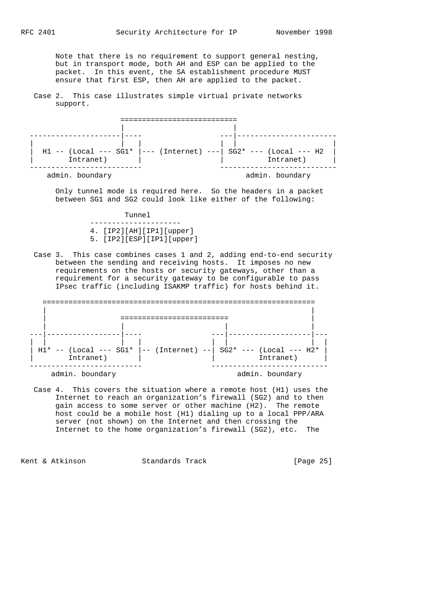Note that there is no requirement to support general nesting, but in transport mode, both AH and ESP can be applied to the packet. In this event, the SA establishment procedure MUST ensure that first ESP, then AH are applied to the packet.

 Case 2. This case illustrates simple virtual private networks support.

| Intranet)       | H1 -- (Local --- $S\overline{c}1*$ --- (Internet) --- $S\overline{c}2*$ --- (Local --- H2<br>Intranet) |
|-----------------|--------------------------------------------------------------------------------------------------------|
| admin. boundary | admin. boundary                                                                                        |

 Only tunnel mode is required here. So the headers in a packet between SG1 and SG2 could look like either of the following:

> Tunnel --------------------- 4. [IP2][AH][IP1][upper] 5. [IP2][ESP][IP1][upper]

 Case 3. This case combines cases 1 and 2, adding end-to-end security between the sending and receiving hosts. It imposes no new requirements on the hosts or security gateways, other than a requirement for a security gateway to be configurable to pass IPsec traffic (including ISAKMP traffic) for hosts behind it.



 Case 4. This covers the situation where a remote host (H1) uses the Internet to reach an organization's firewall (SG2) and to then gain access to some server or other machine (H2). The remote host could be a mobile host (H1) dialing up to a local PPP/ARA server (not shown) on the Internet and then crossing the Internet to the home organization's firewall (SG2), etc. The

Kent & Atkinson Standards Track [Page 25]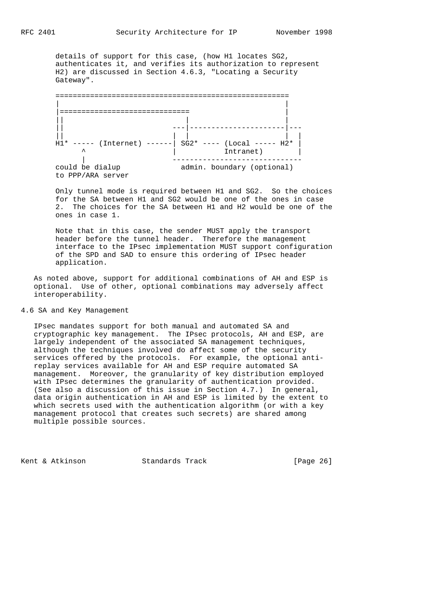details of support for this case, (how H1 locates SG2, authenticates it, and verifies its authorization to represent H2) are discussed in Section 4.6.3, "Locating a Security Gateway".

| $H1*$ ----- (Internet) ------<br>$\lambda$ | $SG2*$ ---- (Local ----- $H2*$<br>Intranet) |
|--------------------------------------------|---------------------------------------------|
| could be dialup<br>to PPP/ARA server       | admin. boundary (optional)                  |

 Only tunnel mode is required between H1 and SG2. So the choices for the SA between H1 and SG2 would be one of the ones in case 2. The choices for the SA between H1 and H2 would be one of the ones in case 1.

 Note that in this case, the sender MUST apply the transport header before the tunnel header. Therefore the management interface to the IPsec implementation MUST support configuration of the SPD and SAD to ensure this ordering of IPsec header application.

 As noted above, support for additional combinations of AH and ESP is optional. Use of other, optional combinations may adversely affect interoperability.

## 4.6 SA and Key Management

 IPsec mandates support for both manual and automated SA and cryptographic key management. The IPsec protocols, AH and ESP, are largely independent of the associated SA management techniques, although the techniques involved do affect some of the security services offered by the protocols. For example, the optional anti replay services available for AH and ESP require automated SA management. Moreover, the granularity of key distribution employed with IPsec determines the granularity of authentication provided. (See also a discussion of this issue in Section 4.7.) In general, data origin authentication in AH and ESP is limited by the extent to which secrets used with the authentication algorithm (or with a key management protocol that creates such secrets) are shared among multiple possible sources.

Kent & Atkinson Standards Track [Page 26]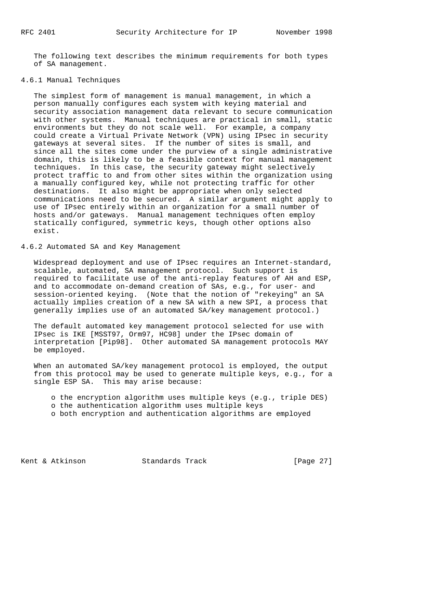The following text describes the minimum requirements for both types of SA management.

# 4.6.1 Manual Techniques

 The simplest form of management is manual management, in which a person manually configures each system with keying material and security association management data relevant to secure communication with other systems. Manual techniques are practical in small, static environments but they do not scale well. For example, a company could create a Virtual Private Network (VPN) using IPsec in security gateways at several sites. If the number of sites is small, and since all the sites come under the purview of a single administrative domain, this is likely to be a feasible context for manual management techniques. In this case, the security gateway might selectively protect traffic to and from other sites within the organization using a manually configured key, while not protecting traffic for other destinations. It also might be appropriate when only selected communications need to be secured. A similar argument might apply to use of IPsec entirely within an organization for a small number of hosts and/or gateways. Manual management techniques often employ statically configured, symmetric keys, though other options also exist.

#### 4.6.2 Automated SA and Key Management

 Widespread deployment and use of IPsec requires an Internet-standard, scalable, automated, SA management protocol. Such support is required to facilitate use of the anti-replay features of AH and ESP, and to accommodate on-demand creation of SAs, e.g., for user- and session-oriented keying. (Note that the notion of "rekeying" an SA actually implies creation of a new SA with a new SPI, a process that generally implies use of an automated SA/key management protocol.)

 The default automated key management protocol selected for use with IPsec is IKE [MSST97, Orm97, HC98] under the IPsec domain of interpretation [Pip98]. Other automated SA management protocols MAY be employed.

 When an automated SA/key management protocol is employed, the output from this protocol may be used to generate multiple keys, e.g., for a single ESP SA. This may arise because:

- o the encryption algorithm uses multiple keys (e.g., triple DES)
- o the authentication algorithm uses multiple keys
- o both encryption and authentication algorithms are employed

Kent & Atkinson Standards Track [Page 27]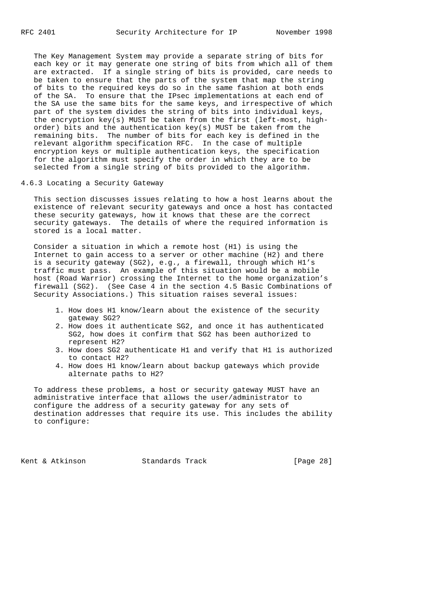The Key Management System may provide a separate string of bits for each key or it may generate one string of bits from which all of them are extracted. If a single string of bits is provided, care needs to be taken to ensure that the parts of the system that map the string of bits to the required keys do so in the same fashion at both ends of the SA. To ensure that the IPsec implementations at each end of the SA use the same bits for the same keys, and irrespective of which part of the system divides the string of bits into individual keys, the encryption key(s) MUST be taken from the first (left-most, high order) bits and the authentication key(s) MUST be taken from the remaining bits. The number of bits for each key is defined in the relevant algorithm specification RFC. In the case of multiple encryption keys or multiple authentication keys, the specification for the algorithm must specify the order in which they are to be selected from a single string of bits provided to the algorithm.

4.6.3 Locating a Security Gateway

 This section discusses issues relating to how a host learns about the existence of relevant security gateways and once a host has contacted these security gateways, how it knows that these are the correct security gateways. The details of where the required information is stored is a local matter.

 Consider a situation in which a remote host (H1) is using the Internet to gain access to a server or other machine (H2) and there is a security gateway (SG2), e.g., a firewall, through which H1's traffic must pass. An example of this situation would be a mobile host (Road Warrior) crossing the Internet to the home organization's firewall (SG2). (See Case 4 in the section 4.5 Basic Combinations of Security Associations.) This situation raises several issues:

- 1. How does H1 know/learn about the existence of the security gateway SG2?
- 2. How does it authenticate SG2, and once it has authenticated SG2, how does it confirm that SG2 has been authorized to represent H2?
- 3. How does SG2 authenticate H1 and verify that H1 is authorized to contact H2?
- 4. How does H1 know/learn about backup gateways which provide alternate paths to H2?

 To address these problems, a host or security gateway MUST have an administrative interface that allows the user/administrator to configure the address of a security gateway for any sets of destination addresses that require its use. This includes the ability to configure:

Kent & Atkinson Standards Track [Page 28]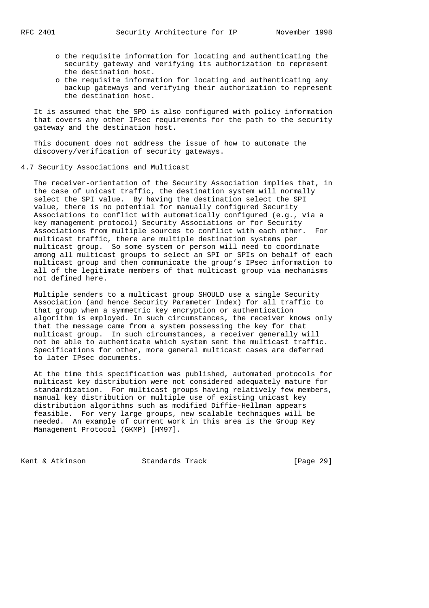- o the requisite information for locating and authenticating the security gateway and verifying its authorization to represent the destination host.
- o the requisite information for locating and authenticating any backup gateways and verifying their authorization to represent the destination host.

 It is assumed that the SPD is also configured with policy information that covers any other IPsec requirements for the path to the security gateway and the destination host.

 This document does not address the issue of how to automate the discovery/verification of security gateways.

#### 4.7 Security Associations and Multicast

 The receiver-orientation of the Security Association implies that, in the case of unicast traffic, the destination system will normally select the SPI value. By having the destination select the SPI value, there is no potential for manually configured Security Associations to conflict with automatically configured (e.g., via a key management protocol) Security Associations or for Security Associations from multiple sources to conflict with each other. For multicast traffic, there are multiple destination systems per multicast group. So some system or person will need to coordinate among all multicast groups to select an SPI or SPIs on behalf of each multicast group and then communicate the group's IPsec information to all of the legitimate members of that multicast group via mechanisms not defined here.

 Multiple senders to a multicast group SHOULD use a single Security Association (and hence Security Parameter Index) for all traffic to that group when a symmetric key encryption or authentication algorithm is employed. In such circumstances, the receiver knows only that the message came from a system possessing the key for that multicast group. In such circumstances, a receiver generally will not be able to authenticate which system sent the multicast traffic. Specifications for other, more general multicast cases are deferred to later IPsec documents.

 At the time this specification was published, automated protocols for multicast key distribution were not considered adequately mature for standardization. For multicast groups having relatively few members, manual key distribution or multiple use of existing unicast key distribution algorithms such as modified Diffie-Hellman appears feasible. For very large groups, new scalable techniques will be needed. An example of current work in this area is the Group Key Management Protocol (GKMP) [HM97].

Kent & Atkinson Standards Track [Page 29]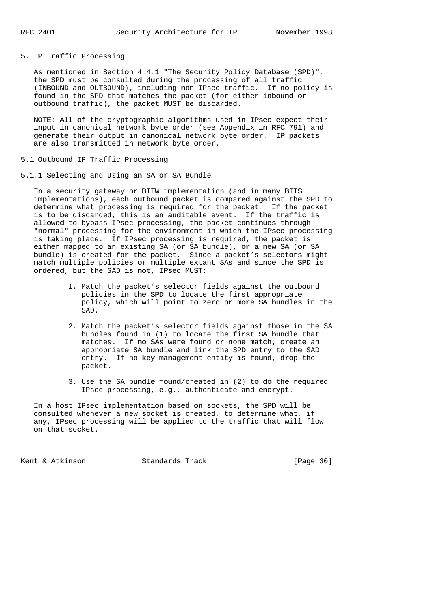5. IP Traffic Processing

 As mentioned in Section 4.4.1 "The Security Policy Database (SPD)", the SPD must be consulted during the processing of all traffic (INBOUND and OUTBOUND), including non-IPsec traffic. If no policy is found in the SPD that matches the packet (for either inbound or outbound traffic), the packet MUST be discarded.

 NOTE: All of the cryptographic algorithms used in IPsec expect their input in canonical network byte order (see Appendix in RFC 791) and generate their output in canonical network byte order. IP packets are also transmitted in network byte order.

5.1 Outbound IP Traffic Processing

5.1.1 Selecting and Using an SA or SA Bundle

 In a security gateway or BITW implementation (and in many BITS implementations), each outbound packet is compared against the SPD to determine what processing is required for the packet. If the packet is to be discarded, this is an auditable event. If the traffic is allowed to bypass IPsec processing, the packet continues through "normal" processing for the environment in which the IPsec processing is taking place. If IPsec processing is required, the packet is either mapped to an existing SA (or SA bundle), or a new SA (or SA bundle) is created for the packet. Since a packet's selectors might match multiple policies or multiple extant SAs and since the SPD is ordered, but the SAD is not, IPsec MUST:

- 1. Match the packet's selector fields against the outbound policies in the SPD to locate the first appropriate policy, which will point to zero or more SA bundles in the SAD.
- 2. Match the packet's selector fields against those in the SA bundles found in (1) to locate the first SA bundle that matches. If no SAs were found or none match, create an appropriate SA bundle and link the SPD entry to the SAD entry. If no key management entity is found, drop the packet.
- 3. Use the SA bundle found/created in (2) to do the required IPsec processing, e.g., authenticate and encrypt.

 In a host IPsec implementation based on sockets, the SPD will be consulted whenever a new socket is created, to determine what, if any, IPsec processing will be applied to the traffic that will flow on that socket.

Kent & Atkinson Standards Track [Page 30]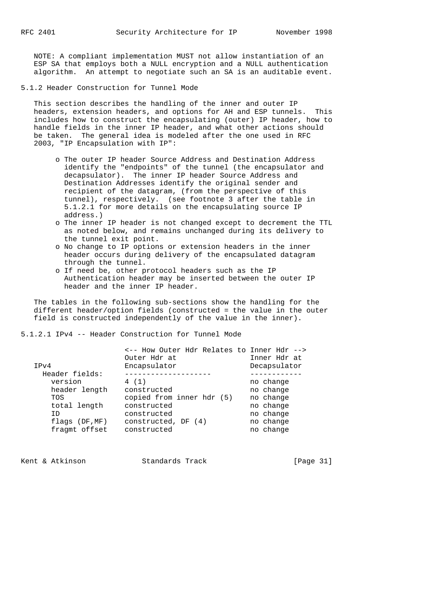NOTE: A compliant implementation MUST not allow instantiation of an ESP SA that employs both a NULL encryption and a NULL authentication algorithm. An attempt to negotiate such an SA is an auditable event.

5.1.2 Header Construction for Tunnel Mode

 This section describes the handling of the inner and outer IP headers, extension headers, and options for AH and ESP tunnels. This includes how to construct the encapsulating (outer) IP header, how to handle fields in the inner IP header, and what other actions should be taken. The general idea is modeled after the one used in RFC 2003, "IP Encapsulation with IP":

- o The outer IP header Source Address and Destination Address identify the "endpoints" of the tunnel (the encapsulator and decapsulator). The inner IP header Source Address and Destination Addresses identify the original sender and recipient of the datagram, (from the perspective of this tunnel), respectively. (see footnote 3 after the table in 5.1.2.1 for more details on the encapsulating source IP address.)
- o The inner IP header is not changed except to decrement the TTL as noted below, and remains unchanged during its delivery to the tunnel exit point.
- o No change to IP options or extension headers in the inner header occurs during delivery of the encapsulated datagram through the tunnel.
- o If need be, other protocol headers such as the IP Authentication header may be inserted between the outer IP header and the inner IP header.

 The tables in the following sub-sections show the handling for the different header/option fields (constructed = the value in the outer field is constructed independently of the value in the inner).

5.1.2.1 IPv4 -- Header Construction for Tunnel Mode

| TPv4<br>Header fields:<br>version<br>header length<br>TOS<br>total length<br>ΙD<br>flags $(DF, MF)$ | <-- How Outer Hdr Relates to Inner Hdr --><br>Outer Hdr at<br>Encapsulator<br>4 (1)<br>constructed<br>copied from inner hdr (5)<br>constructed<br>constructed<br>constructed, DF $(4)$ | Inner Hdr at<br>Decapsulator<br>no change<br>no change<br>no change<br>no change<br>no change<br>no change |
|-----------------------------------------------------------------------------------------------------|----------------------------------------------------------------------------------------------------------------------------------------------------------------------------------------|------------------------------------------------------------------------------------------------------------|
| fragmt offset                                                                                       | constructed                                                                                                                                                                            | no change                                                                                                  |

Kent & Atkinson Standards Track [Page 31]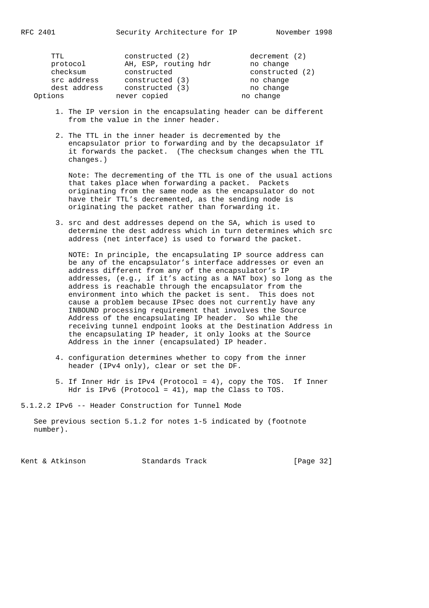| TTT.         | constructed (2)      | decrement (2)   |
|--------------|----------------------|-----------------|
| protocol     | AH, ESP, routing hdr | no change       |
| checksum     | constructed          | constructed (2) |
| src address  | constructed (3)      | no change       |
| dest address | constructed (3)      | no change       |
| Options      | never copied         | no change       |

- 1. The IP version in the encapsulating header can be different from the value in the inner header.
- 2. The TTL in the inner header is decremented by the encapsulator prior to forwarding and by the decapsulator if it forwards the packet. (The checksum changes when the TTL changes.)

 Note: The decrementing of the TTL is one of the usual actions that takes place when forwarding a packet. Packets originating from the same node as the encapsulator do not have their TTL's decremented, as the sending node is originating the packet rather than forwarding it.

 3. src and dest addresses depend on the SA, which is used to determine the dest address which in turn determines which src address (net interface) is used to forward the packet.

 NOTE: In principle, the encapsulating IP source address can be any of the encapsulator's interface addresses or even an address different from any of the encapsulator's IP addresses, (e.g., if it's acting as a NAT box) so long as the address is reachable through the encapsulator from the environment into which the packet is sent. This does not cause a problem because IPsec does not currently have any INBOUND processing requirement that involves the Source Address of the encapsulating IP header. So while the receiving tunnel endpoint looks at the Destination Address in the encapsulating IP header, it only looks at the Source Address in the inner (encapsulated) IP header.

- 4. configuration determines whether to copy from the inner header (IPv4 only), clear or set the DF.
- 5. If Inner Hdr is IPv4 (Protocol = 4), copy the TOS. If Inner Hdr is IPv6 (Protocol = 41), map the Class to TOS.

5.1.2.2 IPv6 -- Header Construction for Tunnel Mode

 See previous section 5.1.2 for notes 1-5 indicated by (footnote number).

Kent & Atkinson Standards Track [Page 32]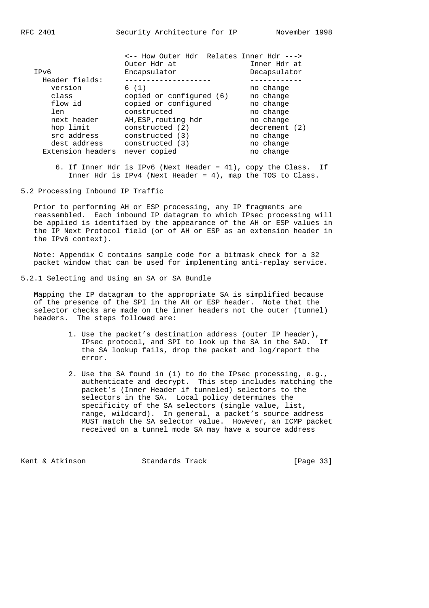|                   | <-- How Outer Hdr Relates Inner Hdr | $- >$         |
|-------------------|-------------------------------------|---------------|
|                   | Outer Hdr at                        | Inner Hdr at  |
| IPv6              | Encapsulator                        | Decapsulator  |
| Header fields:    |                                     |               |
| version           | 6 (1)                               | no change     |
| class             | copied or configured (6)            | no change     |
| flow id           | copied or configured                | no change     |
| len               | constructed                         | no change     |
| next header       | AH, ESP, routing hdr                | no change     |
| hop limit         | constructed (2)                     | decrement (2) |
| src address       | constructed (3)                     | no change     |
| dest address      | constructed (3)                     | no change     |
| Extension headers | never copied                        | no change     |
|                   |                                     |               |

 6. If Inner Hdr is IPv6 (Next Header = 41), copy the Class. If Inner Hdr is IPv4 (Next Header = 4), map the TOS to Class.

5.2 Processing Inbound IP Traffic

 Prior to performing AH or ESP processing, any IP fragments are reassembled. Each inbound IP datagram to which IPsec processing will be applied is identified by the appearance of the AH or ESP values in the IP Next Protocol field (or of AH or ESP as an extension header in the IPv6 context).

 Note: Appendix C contains sample code for a bitmask check for a 32 packet window that can be used for implementing anti-replay service.

5.2.1 Selecting and Using an SA or SA Bundle

 Mapping the IP datagram to the appropriate SA is simplified because of the presence of the SPI in the AH or ESP header. Note that the selector checks are made on the inner headers not the outer (tunnel) headers. The steps followed are:

- 1. Use the packet's destination address (outer IP header), IPsec protocol, and SPI to look up the SA in the SAD. If the SA lookup fails, drop the packet and log/report the error.
- 2. Use the SA found in (1) to do the IPsec processing, e.g., authenticate and decrypt. This step includes matching the packet's (Inner Header if tunneled) selectors to the selectors in the SA. Local policy determines the specificity of the SA selectors (single value, list, range, wildcard). In general, a packet's source address MUST match the SA selector value. However, an ICMP packet received on a tunnel mode SA may have a source address

Kent & Atkinson Standards Track [Page 33]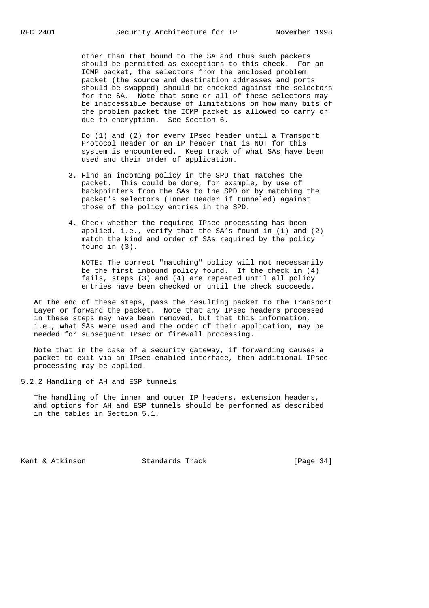other than that bound to the SA and thus such packets should be permitted as exceptions to this check. For an ICMP packet, the selectors from the enclosed problem packet (the source and destination addresses and ports should be swapped) should be checked against the selectors for the SA. Note that some or all of these selectors may be inaccessible because of limitations on how many bits of the problem packet the ICMP packet is allowed to carry or due to encryption. See Section 6.

 Do (1) and (2) for every IPsec header until a Transport Protocol Header or an IP header that is NOT for this system is encountered. Keep track of what SAs have been used and their order of application.

- 3. Find an incoming policy in the SPD that matches the packet. This could be done, for example, by use of backpointers from the SAs to the SPD or by matching the packet's selectors (Inner Header if tunneled) against those of the policy entries in the SPD.
- 4. Check whether the required IPsec processing has been applied, i.e., verify that the SA's found in (1) and (2) match the kind and order of SAs required by the policy found in (3).

 NOTE: The correct "matching" policy will not necessarily be the first inbound policy found. If the check in (4) fails, steps (3) and (4) are repeated until all policy entries have been checked or until the check succeeds.

 At the end of these steps, pass the resulting packet to the Transport Layer or forward the packet. Note that any IPsec headers processed in these steps may have been removed, but that this information, i.e., what SAs were used and the order of their application, may be needed for subsequent IPsec or firewall processing.

 Note that in the case of a security gateway, if forwarding causes a packet to exit via an IPsec-enabled interface, then additional IPsec processing may be applied.

5.2.2 Handling of AH and ESP tunnels

 The handling of the inner and outer IP headers, extension headers, and options for AH and ESP tunnels should be performed as described in the tables in Section 5.1.

Kent & Atkinson Standards Track [Page 34]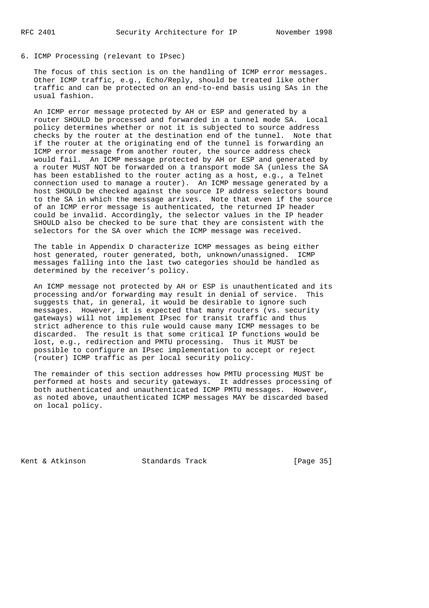6. ICMP Processing (relevant to IPsec)

 The focus of this section is on the handling of ICMP error messages. Other ICMP traffic, e.g., Echo/Reply, should be treated like other traffic and can be protected on an end-to-end basis using SAs in the usual fashion.

 An ICMP error message protected by AH or ESP and generated by a router SHOULD be processed and forwarded in a tunnel mode SA. Local policy determines whether or not it is subjected to source address checks by the router at the destination end of the tunnel. Note that if the router at the originating end of the tunnel is forwarding an ICMP error message from another router, the source address check would fail. An ICMP message protected by AH or ESP and generated by a router MUST NOT be forwarded on a transport mode SA (unless the SA has been established to the router acting as a host, e.g., a Telnet connection used to manage a router). An ICMP message generated by a host SHOULD be checked against the source IP address selectors bound to the SA in which the message arrives. Note that even if the source of an ICMP error message is authenticated, the returned IP header could be invalid. Accordingly, the selector values in the IP header SHOULD also be checked to be sure that they are consistent with the selectors for the SA over which the ICMP message was received.

 The table in Appendix D characterize ICMP messages as being either host generated, router generated, both, unknown/unassigned. ICMP messages falling into the last two categories should be handled as determined by the receiver's policy.

 An ICMP message not protected by AH or ESP is unauthenticated and its processing and/or forwarding may result in denial of service. This suggests that, in general, it would be desirable to ignore such messages. However, it is expected that many routers (vs. security gateways) will not implement IPsec for transit traffic and thus strict adherence to this rule would cause many ICMP messages to be discarded. The result is that some critical IP functions would be lost, e.g., redirection and PMTU processing. Thus it MUST be possible to configure an IPsec implementation to accept or reject (router) ICMP traffic as per local security policy.

 The remainder of this section addresses how PMTU processing MUST be performed at hosts and security gateways. It addresses processing of both authenticated and unauthenticated ICMP PMTU messages. However, as noted above, unauthenticated ICMP messages MAY be discarded based on local policy.

Kent & Atkinson Standards Track [Page 35]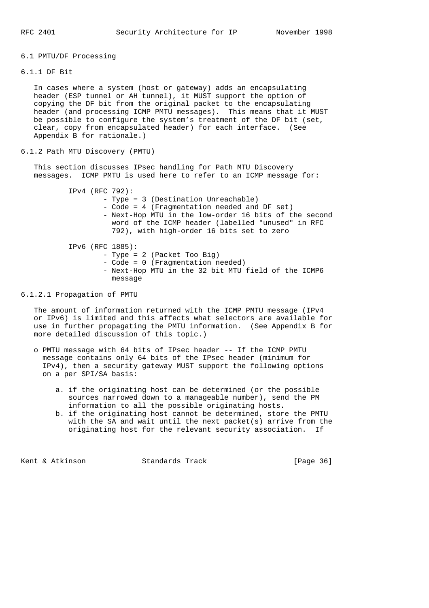6.1 PMTU/DF Processing

6.1.1 DF Bit

 In cases where a system (host or gateway) adds an encapsulating header (ESP tunnel or AH tunnel), it MUST support the option of copying the DF bit from the original packet to the encapsulating header (and processing ICMP PMTU messages). This means that it MUST be possible to configure the system's treatment of the DF bit (set, clear, copy from encapsulated header) for each interface. (See Appendix B for rationale.)

6.1.2 Path MTU Discovery (PMTU)

 This section discusses IPsec handling for Path MTU Discovery messages. ICMP PMTU is used here to refer to an ICMP message for:

- IPv4 (RFC 792): - Type = 3 (Destination Unreachable) - Code = 4 (Fragmentation needed and DF set) - Next-Hop MTU in the low-order 16 bits of the second word of the ICMP header (labelled "unused" in RFC 792), with high-order 16 bits set to zero IPv6 (RFC 1885):
	- Type = 2 (Packet Too Big)
	- Code = 0 (Fragmentation needed)
	- Next-Hop MTU in the 32 bit MTU field of the ICMP6 message

#### 6.1.2.1 Propagation of PMTU

 The amount of information returned with the ICMP PMTU message (IPv4 or IPv6) is limited and this affects what selectors are available for use in further propagating the PMTU information. (See Appendix B for more detailed discussion of this topic.)

- o PMTU message with 64 bits of IPsec header -- If the ICMP PMTU message contains only 64 bits of the IPsec header (minimum for IPv4), then a security gateway MUST support the following options on a per SPI/SA basis:
	- a. if the originating host can be determined (or the possible sources narrowed down to a manageable number), send the PM information to all the possible originating hosts.
	- b. if the originating host cannot be determined, store the PMTU with the SA and wait until the next packet(s) arrive from the originating host for the relevant security association. If

Kent & Atkinson Standards Track [Page 36]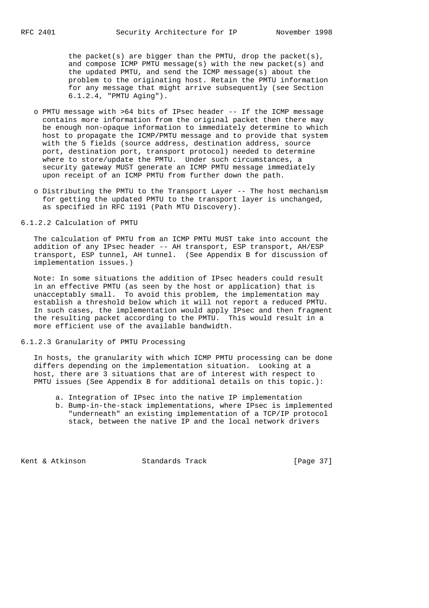the packet(s) are bigger than the PMTU, drop the packet(s), and compose ICMP PMTU message(s) with the new packet(s) and the updated PMTU, and send the ICMP message(s) about the problem to the originating host. Retain the PMTU information for any message that might arrive subsequently (see Section 6.1.2.4, "PMTU Aging").

- o PMTU message with >64 bits of IPsec header -- If the ICMP message contains more information from the original packet then there may be enough non-opaque information to immediately determine to which host to propagate the ICMP/PMTU message and to provide that system with the 5 fields (source address, destination address, source port, destination port, transport protocol) needed to determine where to store/update the PMTU. Under such circumstances, a security gateway MUST generate an ICMP PMTU message immediately upon receipt of an ICMP PMTU from further down the path.
- o Distributing the PMTU to the Transport Layer -- The host mechanism for getting the updated PMTU to the transport layer is unchanged, as specified in RFC 1191 (Path MTU Discovery).
- 6.1.2.2 Calculation of PMTU

 The calculation of PMTU from an ICMP PMTU MUST take into account the addition of any IPsec header -- AH transport, ESP transport, AH/ESP transport, ESP tunnel, AH tunnel. (See Appendix B for discussion of implementation issues.)

 Note: In some situations the addition of IPsec headers could result in an effective PMTU (as seen by the host or application) that is unacceptably small. To avoid this problem, the implementation may establish a threshold below which it will not report a reduced PMTU. In such cases, the implementation would apply IPsec and then fragment the resulting packet according to the PMTU. This would result in a more efficient use of the available bandwidth.

6.1.2.3 Granularity of PMTU Processing

 In hosts, the granularity with which ICMP PMTU processing can be done differs depending on the implementation situation. Looking at a host, there are 3 situations that are of interest with respect to PMTU issues (See Appendix B for additional details on this topic.):

- a. Integration of IPsec into the native IP implementation
- b. Bump-in-the-stack implementations, where IPsec is implemented "underneath" an existing implementation of a TCP/IP protocol stack, between the native IP and the local network drivers

Kent & Atkinson Standards Track [Page 37]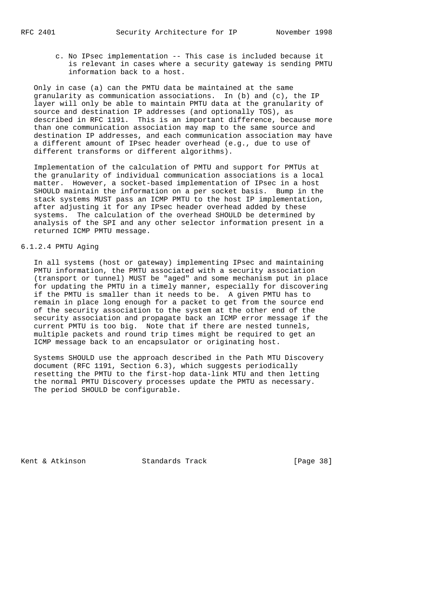c. No IPsec implementation -- This case is included because it is relevant in cases where a security gateway is sending PMTU information back to a host.

 Only in case (a) can the PMTU data be maintained at the same granularity as communication associations. In (b) and (c), the IP layer will only be able to maintain PMTU data at the granularity of source and destination IP addresses (and optionally TOS), as described in RFC 1191. This is an important difference, because more than one communication association may map to the same source and destination IP addresses, and each communication association may have a different amount of IPsec header overhead (e.g., due to use of different transforms or different algorithms).

 Implementation of the calculation of PMTU and support for PMTUs at the granularity of individual communication associations is a local matter. However, a socket-based implementation of IPsec in a host SHOULD maintain the information on a per socket basis. Bump in the stack systems MUST pass an ICMP PMTU to the host IP implementation, after adjusting it for any IPsec header overhead added by these systems. The calculation of the overhead SHOULD be determined by analysis of the SPI and any other selector information present in a returned ICMP PMTU message.

#### 6.1.2.4 PMTU Aging

 In all systems (host or gateway) implementing IPsec and maintaining PMTU information, the PMTU associated with a security association (transport or tunnel) MUST be "aged" and some mechanism put in place for updating the PMTU in a timely manner, especially for discovering if the PMTU is smaller than it needs to be. A given PMTU has to remain in place long enough for a packet to get from the source end of the security association to the system at the other end of the security association and propagate back an ICMP error message if the current PMTU is too big. Note that if there are nested tunnels, multiple packets and round trip times might be required to get an ICMP message back to an encapsulator or originating host.

 Systems SHOULD use the approach described in the Path MTU Discovery document (RFC 1191, Section 6.3), which suggests periodically resetting the PMTU to the first-hop data-link MTU and then letting the normal PMTU Discovery processes update the PMTU as necessary. The period SHOULD be configurable.

Kent & Atkinson Standards Track [Page 38]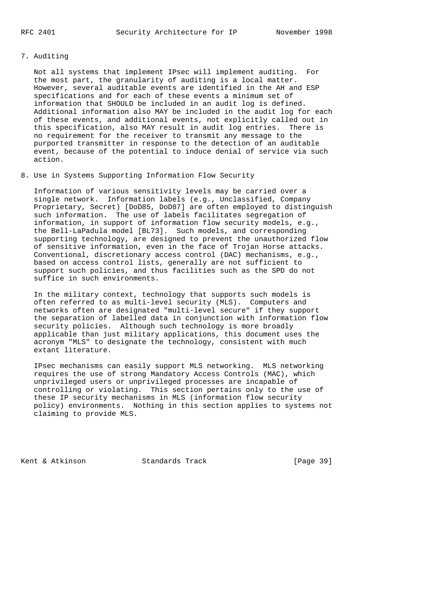# 7. Auditing

 Not all systems that implement IPsec will implement auditing. For the most part, the granularity of auditing is a local matter. However, several auditable events are identified in the AH and ESP specifications and for each of these events a minimum set of information that SHOULD be included in an audit log is defined. Additional information also MAY be included in the audit log for each of these events, and additional events, not explicitly called out in this specification, also MAY result in audit log entries. There is no requirement for the receiver to transmit any message to the purported transmitter in response to the detection of an auditable event, because of the potential to induce denial of service via such action.

# 8. Use in Systems Supporting Information Flow Security

 Information of various sensitivity levels may be carried over a single network. Information labels (e.g., Unclassified, Company Proprietary, Secret) [DoD85, DoD87] are often employed to distinguish such information. The use of labels facilitates segregation of information, in support of information flow security models, e.g., the Bell-LaPadula model [BL73]. Such models, and corresponding supporting technology, are designed to prevent the unauthorized flow of sensitive information, even in the face of Trojan Horse attacks. Conventional, discretionary access control (DAC) mechanisms, e.g., based on access control lists, generally are not sufficient to support such policies, and thus facilities such as the SPD do not suffice in such environments.

 In the military context, technology that supports such models is often referred to as multi-level security (MLS). Computers and networks often are designated "multi-level secure" if they support the separation of labelled data in conjunction with information flow security policies. Although such technology is more broadly applicable than just military applications, this document uses the acronym "MLS" to designate the technology, consistent with much extant literature.

 IPsec mechanisms can easily support MLS networking. MLS networking requires the use of strong Mandatory Access Controls (MAC), which unprivileged users or unprivileged processes are incapable of controlling or violating. This section pertains only to the use of these IP security mechanisms in MLS (information flow security policy) environments. Nothing in this section applies to systems not claiming to provide MLS.

Kent & Atkinson Standards Track [Page 39]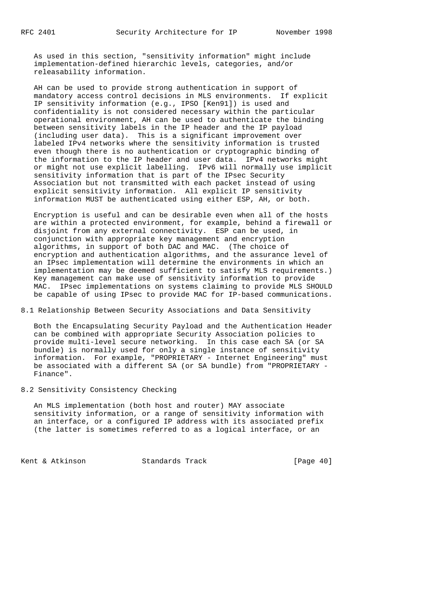As used in this section, "sensitivity information" might include implementation-defined hierarchic levels, categories, and/or releasability information.

 AH can be used to provide strong authentication in support of mandatory access control decisions in MLS environments. If explicit IP sensitivity information (e.g., IPSO [Ken91]) is used and confidentiality is not considered necessary within the particular operational environment, AH can be used to authenticate the binding between sensitivity labels in the IP header and the IP payload (including user data). This is a significant improvement over labeled IPv4 networks where the sensitivity information is trusted even though there is no authentication or cryptographic binding of the information to the IP header and user data. IPv4 networks might or might not use explicit labelling. IPv6 will normally use implicit sensitivity information that is part of the IPsec Security Association but not transmitted with each packet instead of using explicit sensitivity information. All explicit IP sensitivity information MUST be authenticated using either ESP, AH, or both.

 Encryption is useful and can be desirable even when all of the hosts are within a protected environment, for example, behind a firewall or disjoint from any external connectivity. ESP can be used, in conjunction with appropriate key management and encryption algorithms, in support of both DAC and MAC. (The choice of encryption and authentication algorithms, and the assurance level of an IPsec implementation will determine the environments in which an implementation may be deemed sufficient to satisfy MLS requirements.) Key management can make use of sensitivity information to provide MAC. IPsec implementations on systems claiming to provide MLS SHOULD be capable of using IPsec to provide MAC for IP-based communications.

# 8.1 Relationship Between Security Associations and Data Sensitivity

 Both the Encapsulating Security Payload and the Authentication Header can be combined with appropriate Security Association policies to provide multi-level secure networking. In this case each SA (or SA bundle) is normally used for only a single instance of sensitivity information. For example, "PROPRIETARY - Internet Engineering" must be associated with a different SA (or SA bundle) from "PROPRIETARY - Finance".

8.2 Sensitivity Consistency Checking

 An MLS implementation (both host and router) MAY associate sensitivity information, or a range of sensitivity information with an interface, or a configured IP address with its associated prefix (the latter is sometimes referred to as a logical interface, or an

Kent & Atkinson Standards Track [Page 40]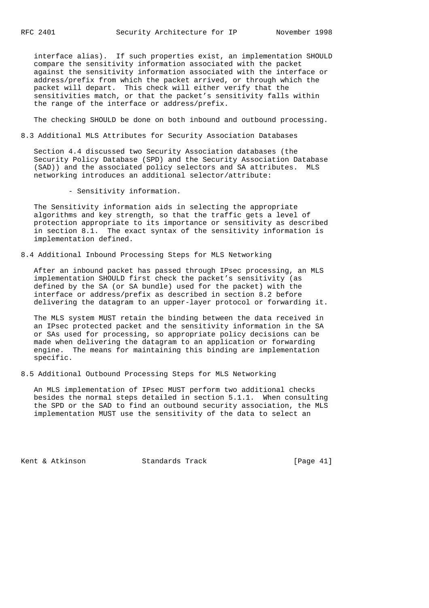interface alias). If such properties exist, an implementation SHOULD compare the sensitivity information associated with the packet against the sensitivity information associated with the interface or address/prefix from which the packet arrived, or through which the packet will depart. This check will either verify that the sensitivities match, or that the packet's sensitivity falls within the range of the interface or address/prefix.

The checking SHOULD be done on both inbound and outbound processing.

8.3 Additional MLS Attributes for Security Association Databases

 Section 4.4 discussed two Security Association databases (the Security Policy Database (SPD) and the Security Association Database (SAD)) and the associated policy selectors and SA attributes. MLS networking introduces an additional selector/attribute:

- Sensitivity information.

 The Sensitivity information aids in selecting the appropriate algorithms and key strength, so that the traffic gets a level of protection appropriate to its importance or sensitivity as described in section 8.1. The exact syntax of the sensitivity information is implementation defined.

8.4 Additional Inbound Processing Steps for MLS Networking

 After an inbound packet has passed through IPsec processing, an MLS implementation SHOULD first check the packet's sensitivity (as defined by the SA (or SA bundle) used for the packet) with the interface or address/prefix as described in section 8.2 before delivering the datagram to an upper-layer protocol or forwarding it.

 The MLS system MUST retain the binding between the data received in an IPsec protected packet and the sensitivity information in the SA or SAs used for processing, so appropriate policy decisions can be made when delivering the datagram to an application or forwarding engine. The means for maintaining this binding are implementation specific.

8.5 Additional Outbound Processing Steps for MLS Networking

 An MLS implementation of IPsec MUST perform two additional checks besides the normal steps detailed in section 5.1.1. When consulting the SPD or the SAD to find an outbound security association, the MLS implementation MUST use the sensitivity of the data to select an

Kent & Atkinson Standards Track [Page 41]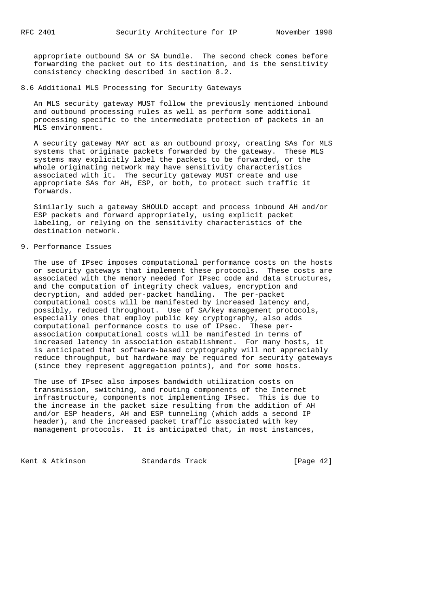appropriate outbound SA or SA bundle. The second check comes before forwarding the packet out to its destination, and is the sensitivity consistency checking described in section 8.2.

#### 8.6 Additional MLS Processing for Security Gateways

 An MLS security gateway MUST follow the previously mentioned inbound and outbound processing rules as well as perform some additional processing specific to the intermediate protection of packets in an MLS environment.

 A security gateway MAY act as an outbound proxy, creating SAs for MLS systems that originate packets forwarded by the gateway. These MLS systems may explicitly label the packets to be forwarded, or the whole originating network may have sensitivity characteristics associated with it. The security gateway MUST create and use appropriate SAs for AH, ESP, or both, to protect such traffic it forwards.

 Similarly such a gateway SHOULD accept and process inbound AH and/or ESP packets and forward appropriately, using explicit packet labeling, or relying on the sensitivity characteristics of the destination network.

#### 9. Performance Issues

 The use of IPsec imposes computational performance costs on the hosts or security gateways that implement these protocols. These costs are associated with the memory needed for IPsec code and data structures, and the computation of integrity check values, encryption and decryption, and added per-packet handling. The per-packet computational costs will be manifested by increased latency and, possibly, reduced throughout. Use of SA/key management protocols, especially ones that employ public key cryptography, also adds computational performance costs to use of IPsec. These per association computational costs will be manifested in terms of increased latency in association establishment. For many hosts, it is anticipated that software-based cryptography will not appreciably reduce throughput, but hardware may be required for security gateways (since they represent aggregation points), and for some hosts.

 The use of IPsec also imposes bandwidth utilization costs on transmission, switching, and routing components of the Internet infrastructure, components not implementing IPsec. This is due to the increase in the packet size resulting from the addition of AH and/or ESP headers, AH and ESP tunneling (which adds a second IP header), and the increased packet traffic associated with key management protocols. It is anticipated that, in most instances,

Kent & Atkinson Standards Track [Page 42]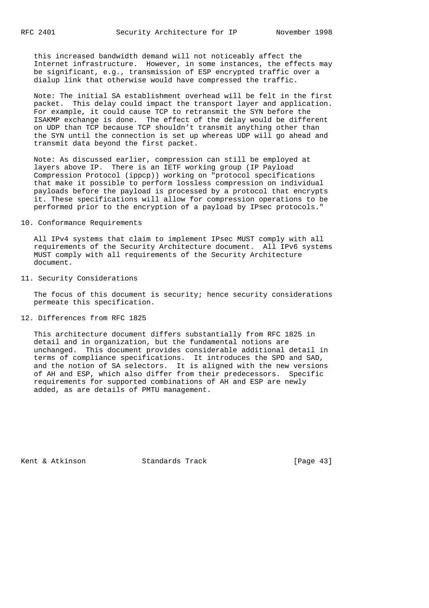this increased bandwidth demand will not noticeably affect the Internet infrastructure. However, in some instances, the effects may be significant, e.g., transmission of ESP encrypted traffic over a dialup link that otherwise would have compressed the traffic.

 Note: The initial SA establishment overhead will be felt in the first packet. This delay could impact the transport layer and application. For example, it could cause TCP to retransmit the SYN before the ISAKMP exchange is done. The effect of the delay would be different on UDP than TCP because TCP shouldn't transmit anything other than the SYN until the connection is set up whereas UDP will go ahead and transmit data beyond the first packet.

 Note: As discussed earlier, compression can still be employed at layers above IP. There is an IETF working group (IP Payload Compression Protocol (ippcp)) working on "protocol specifications that make it possible to perform lossless compression on individual payloads before the payload is processed by a protocol that encrypts it. These specifications will allow for compression operations to be performed prior to the encryption of a payload by IPsec protocols."

## 10. Conformance Requirements

 All IPv4 systems that claim to implement IPsec MUST comply with all requirements of the Security Architecture document. All IPv6 systems MUST comply with all requirements of the Security Architecture document.

11. Security Considerations

The focus of this document is security; hence security considerations permeate this specification.

12. Differences from RFC 1825

 This architecture document differs substantially from RFC 1825 in detail and in organization, but the fundamental notions are unchanged. This document provides considerable additional detail in terms of compliance specifications. It introduces the SPD and SAD, and the notion of SA selectors. It is aligned with the new versions of AH and ESP, which also differ from their predecessors. Specific requirements for supported combinations of AH and ESP are newly added, as are details of PMTU management.

Kent & Atkinson Standards Track [Page 43]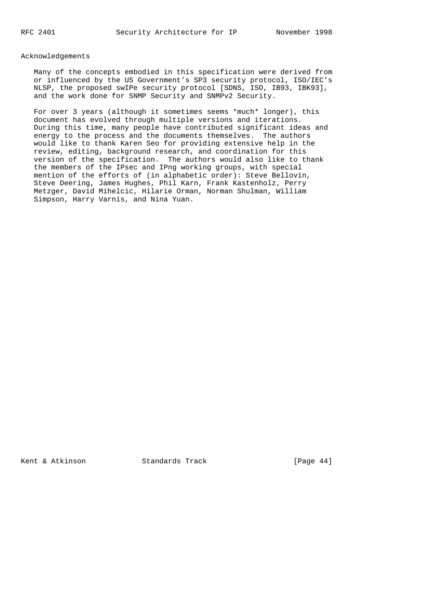#### Acknowledgements

 Many of the concepts embodied in this specification were derived from or influenced by the US Government's SP3 security protocol, ISO/IEC's NLSP, the proposed swIPe security protocol [SDNS, ISO, IB93, IBK93], and the work done for SNMP Security and SNMPv2 Security.

For over 3 years (although it sometimes seems \*much\* longer), this document has evolved through multiple versions and iterations. During this time, many people have contributed significant ideas and energy to the process and the documents themselves. The authors would like to thank Karen Seo for providing extensive help in the review, editing, background research, and coordination for this version of the specification. The authors would also like to thank the members of the IPsec and IPng working groups, with special mention of the efforts of (in alphabetic order): Steve Bellovin, Steve Deering, James Hughes, Phil Karn, Frank Kastenholz, Perry Metzger, David Mihelcic, Hilarie Orman, Norman Shulman, William Simpson, Harry Varnis, and Nina Yuan.

Kent & Atkinson Standards Track [Page 44]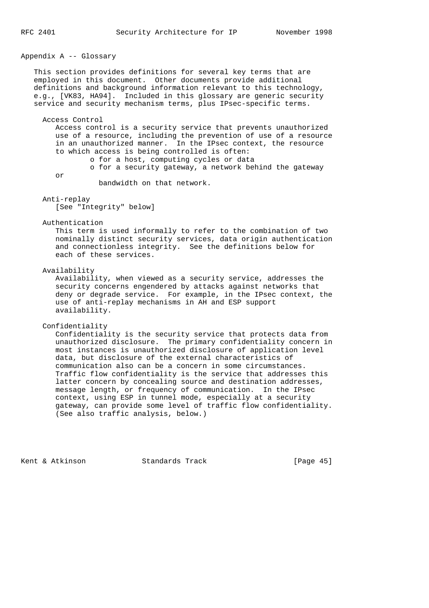Appendix A -- Glossary

 This section provides definitions for several key terms that are employed in this document. Other documents provide additional definitions and background information relevant to this technology, e.g., [VK83, HA94]. Included in this glossary are generic security service and security mechanism terms, plus IPsec-specific terms.

 Access Control Access control is a security service that prevents unauthorized use of a resource, including the prevention of use of a resource in an unauthorized manner. In the IPsec context, the resource to which access is being controlled is often:

o for a host, computing cycles or data

o for a security gateway, a network behind the gateway

bandwidth on that network.

Anti-replay

or

[See "Integrity" below]

Authentication

 This term is used informally to refer to the combination of two nominally distinct security services, data origin authentication and connectionless integrity. See the definitions below for each of these services.

Availability

 Availability, when viewed as a security service, addresses the security concerns engendered by attacks against networks that deny or degrade service. For example, in the IPsec context, the use of anti-replay mechanisms in AH and ESP support availability.

Confidentiality

 Confidentiality is the security service that protects data from unauthorized disclosure. The primary confidentiality concern in most instances is unauthorized disclosure of application level data, but disclosure of the external characteristics of communication also can be a concern in some circumstances. Traffic flow confidentiality is the service that addresses this latter concern by concealing source and destination addresses, message length, or frequency of communication. In the IPsec context, using ESP in tunnel mode, especially at a security gateway, can provide some level of traffic flow confidentiality. (See also traffic analysis, below.)

Kent & Atkinson Standards Track [Page 45]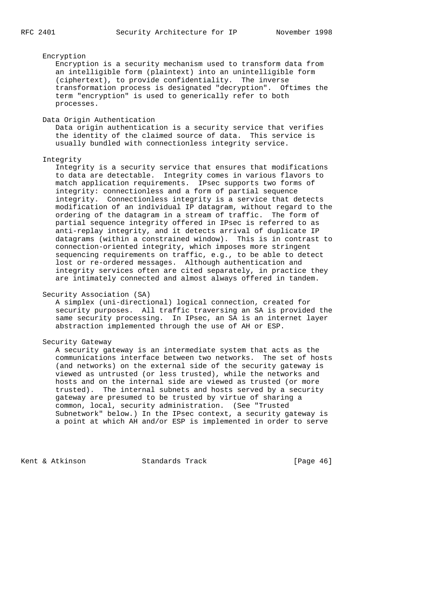Encryption

 Encryption is a security mechanism used to transform data from an intelligible form (plaintext) into an unintelligible form (ciphertext), to provide confidentiality. The inverse transformation process is designated "decryption". Oftimes the term "encryption" is used to generically refer to both processes.

## Data Origin Authentication

 Data origin authentication is a security service that verifies the identity of the claimed source of data. This service is usually bundled with connectionless integrity service.

#### Integrity

 Integrity is a security service that ensures that modifications to data are detectable. Integrity comes in various flavors to match application requirements. IPsec supports two forms of integrity: connectionless and a form of partial sequence integrity. Connectionless integrity is a service that detects modification of an individual IP datagram, without regard to the ordering of the datagram in a stream of traffic. The form of partial sequence integrity offered in IPsec is referred to as anti-replay integrity, and it detects arrival of duplicate IP datagrams (within a constrained window). This is in contrast to connection-oriented integrity, which imposes more stringent sequencing requirements on traffic, e.g., to be able to detect lost or re-ordered messages. Although authentication and integrity services often are cited separately, in practice they are intimately connected and almost always offered in tandem.

#### Security Association (SA)

 A simplex (uni-directional) logical connection, created for security purposes. All traffic traversing an SA is provided the same security processing. In IPsec, an SA is an internet layer abstraction implemented through the use of AH or ESP.

#### Security Gateway

 A security gateway is an intermediate system that acts as the communications interface between two networks. The set of hosts (and networks) on the external side of the security gateway is viewed as untrusted (or less trusted), while the networks and hosts and on the internal side are viewed as trusted (or more trusted). The internal subnets and hosts served by a security gateway are presumed to be trusted by virtue of sharing a common, local, security administration. (See "Trusted Subnetwork" below.) In the IPsec context, a security gateway is a point at which AH and/or ESP is implemented in order to serve

Kent & Atkinson Standards Track [Page 46]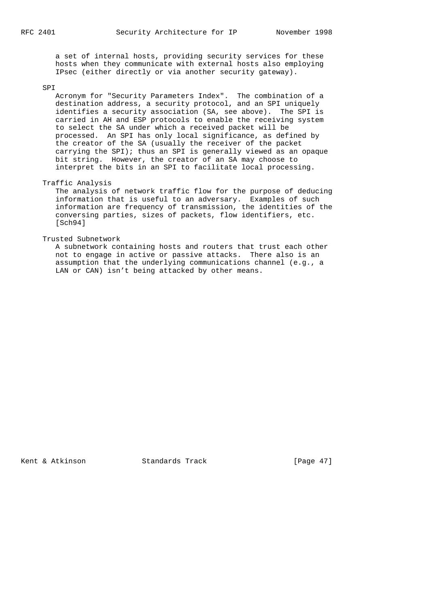a set of internal hosts, providing security services for these hosts when they communicate with external hosts also employing IPsec (either directly or via another security gateway).

#### SPI

 Acronym for "Security Parameters Index". The combination of a destination address, a security protocol, and an SPI uniquely identifies a security association (SA, see above). The SPI is carried in AH and ESP protocols to enable the receiving system to select the SA under which a received packet will be processed. An SPI has only local significance, as defined by the creator of the SA (usually the receiver of the packet carrying the SPI); thus an SPI is generally viewed as an opaque bit string. However, the creator of an SA may choose to interpret the bits in an SPI to facilitate local processing.

## Traffic Analysis

 The analysis of network traffic flow for the purpose of deducing information that is useful to an adversary. Examples of such information are frequency of transmission, the identities of the conversing parties, sizes of packets, flow identifiers, etc. [Sch94]

#### Trusted Subnetwork

 A subnetwork containing hosts and routers that trust each other not to engage in active or passive attacks. There also is an assumption that the underlying communications channel (e.g., a LAN or CAN) isn't being attacked by other means.

Kent & Atkinson Standards Track [Page 47]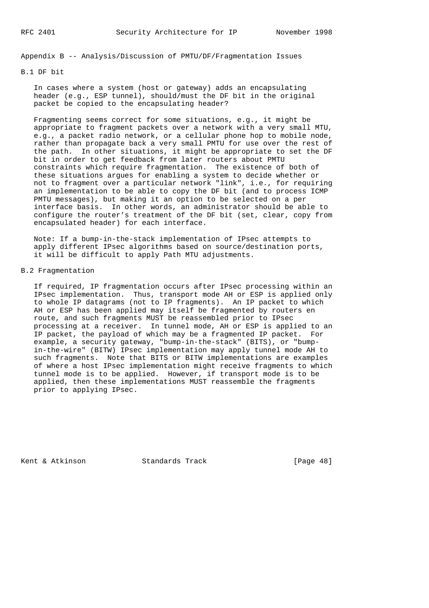Appendix B -- Analysis/Discussion of PMTU/DF/Fragmentation Issues

## B.1 DF bit

 In cases where a system (host or gateway) adds an encapsulating header (e.g., ESP tunnel), should/must the DF bit in the original packet be copied to the encapsulating header?

 Fragmenting seems correct for some situations, e.g., it might be appropriate to fragment packets over a network with a very small MTU, e.g., a packet radio network, or a cellular phone hop to mobile node, rather than propagate back a very small PMTU for use over the rest of the path. In other situations, it might be appropriate to set the DF bit in order to get feedback from later routers about PMTU constraints which require fragmentation. The existence of both of these situations argues for enabling a system to decide whether or not to fragment over a particular network "link", i.e., for requiring an implementation to be able to copy the DF bit (and to process ICMP PMTU messages), but making it an option to be selected on a per interface basis. In other words, an administrator should be able to configure the router's treatment of the DF bit (set, clear, copy from encapsulated header) for each interface.

 Note: If a bump-in-the-stack implementation of IPsec attempts to apply different IPsec algorithms based on source/destination ports, it will be difficult to apply Path MTU adjustments.

#### B.2 Fragmentation

 If required, IP fragmentation occurs after IPsec processing within an IPsec implementation. Thus, transport mode AH or ESP is applied only to whole IP datagrams (not to IP fragments). An IP packet to which AH or ESP has been applied may itself be fragmented by routers en route, and such fragments MUST be reassembled prior to IPsec processing at a receiver. In tunnel mode, AH or ESP is applied to an IP packet, the payload of which may be a fragmented IP packet. For example, a security gateway, "bump-in-the-stack" (BITS), or "bump in-the-wire" (BITW) IPsec implementation may apply tunnel mode AH to such fragments. Note that BITS or BITW implementations are examples of where a host IPsec implementation might receive fragments to which tunnel mode is to be applied. However, if transport mode is to be applied, then these implementations MUST reassemble the fragments prior to applying IPsec.

Kent & Atkinson Standards Track [Page 48]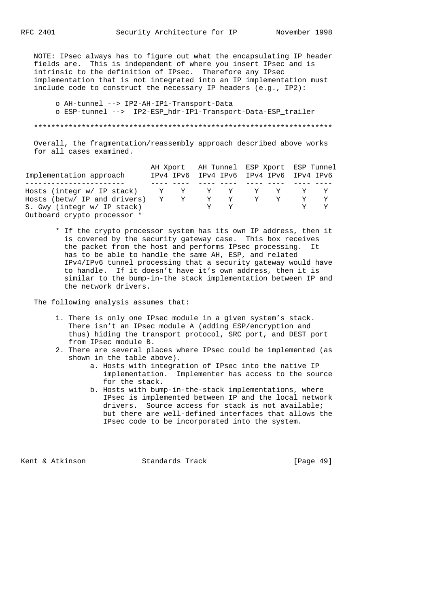NOTE: IPsec always has to figure out what the encapsulating IP header fields are. This is independent of where you insert IPsec and is intrinsic to the definition of IPsec. Therefore any IPsec implementation that is not integrated into an IP implementation must include code to construct the necessary IP headers (e.g., IP2):

 o AH-tunnel --> IP2-AH-IP1-Transport-Data o ESP-tunnel --> IP2-ESP\_hdr-IP1-Transport-Data-ESP\_trailer

\*\*\*\*\*\*\*\*\*\*\*\*\*\*\*\*\*\*\*\*\*\*\*\*\*\*\*\*\*\*\*\*\*\*\*\*\*\*\*\*\*\*\*\*\*\*\*\*\*\*\*\*\*\*\*\*\*\*\*\*\*\*\*\*\*\*\*\*\*

 Overall, the fragmentation/reassembly approach described above works for all cases examined.

|                                                             |   | AH Xport AH Tunnel ESP Xport ESP Tunnel |             |              |              |              |
|-------------------------------------------------------------|---|-----------------------------------------|-------------|--------------|--------------|--------------|
| Implementation approach                                     |   | IPv4 IPv6 IPv4 IPv6 IPv4 IPv6 IPv4 IPv6 |             |              |              |              |
|                                                             |   |                                         |             |              |              |              |
| Hosts (integr w/ IP stack)  Y  Y  Y  Y  Y  Y  Y  Y  Y  Y  Y |   |                                         |             |              |              |              |
| Hosts (betw/ IP and drivers) Y                              | Y | Y                                       | $\mathbf Y$ | $\mathbf{Y}$ |              | $\mathbf{Y}$ |
| S. Gwy (integr w/ IP stack)                                 |   |                                         | Y Y         |              | $\mathbf{Y}$ | $\mathbf{Y}$ |
| Outboard crypto processor *                                 |   |                                         |             |              |              |              |

 \* If the crypto processor system has its own IP address, then it is covered by the security gateway case. This box receives the packet from the host and performs IPsec processing. It has to be able to handle the same AH, ESP, and related IPv4/IPv6 tunnel processing that a security gateway would have to handle. If it doesn't have it's own address, then it is similar to the bump-in-the stack implementation between IP and the network drivers.

The following analysis assumes that:

- 1. There is only one IPsec module in a given system's stack. There isn't an IPsec module A (adding ESP/encryption and thus) hiding the transport protocol, SRC port, and DEST port from IPsec module B.
- 2. There are several places where IPsec could be implemented (as shown in the table above).
	- a. Hosts with integration of IPsec into the native IP implementation. Implementer has access to the source for the stack.
	- b. Hosts with bump-in-the-stack implementations, where IPsec is implemented between IP and the local network drivers. Source access for stack is not available; but there are well-defined interfaces that allows the IPsec code to be incorporated into the system.

Kent & Atkinson Standards Track [Page 49]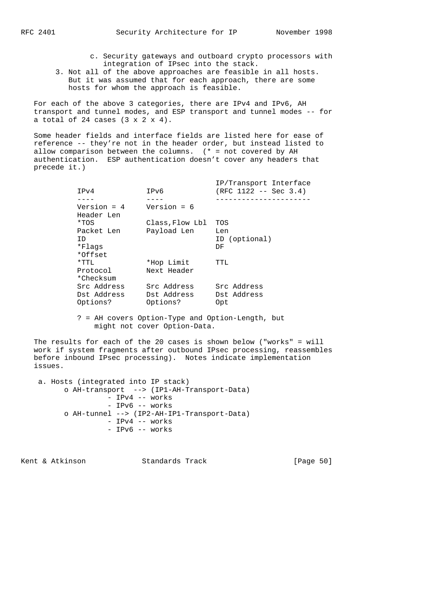- c. Security gateways and outboard crypto processors with integration of IPsec into the stack.
- 3. Not all of the above approaches are feasible in all hosts. But it was assumed that for each approach, there are some hosts for whom the approach is feasible.

 For each of the above 3 categories, there are IPv4 and IPv6, AH transport and tunnel modes, and ESP transport and tunnel modes -- for a total of 24 cases  $(3 \times 2 \times 4)$ .

 Some header fields and interface fields are listed here for ease of reference -- they're not in the header order, but instead listed to allow comparison between the columns.  $(* = not covered by AH)$  authentication. ESP authentication doesn't cover any headers that precede it.)

|                                        |                                        | IP/Transport Interface            |
|----------------------------------------|----------------------------------------|-----------------------------------|
| IPv4                                   | IPv6                                   | $(RFC 1122 -  Sec 3.4)$           |
|                                        |                                        |                                   |
| Version = $4$<br>Header Len            | Version = 6                            |                                   |
| *TOS                                   | Class, Flow Lbl                        | TOS                               |
| Packet Len<br>ID<br>*Flags<br>*Offset  | Payload Len                            | Len<br>ID (optional)<br>DF        |
| $*$ TTT.<br>Protocol<br>*Checksum      | *Hop Limit<br>Next Header              | TTL                               |
| Src Address<br>Dst Address<br>Options? | Src Address<br>Dst Address<br>Options? | Src Address<br>Dst Address<br>Opt |
|                                        |                                        |                                   |

 ? = AH covers Option-Type and Option-Length, but might not cover Option-Data.

 The results for each of the 20 cases is shown below ("works" = will work if system fragments after outbound IPsec processing, reassembles before inbound IPsec processing). Notes indicate implementation issues.

 a. Hosts (integrated into IP stack) o AH-transport --> (IP1-AH-Transport-Data) - IPv4 -- works - IPv6 -- works o AH-tunnel --> (IP2-AH-IP1-Transport-Data) - IPv4 -- works - IPv6 -- works

Kent & Atkinson Standards Track [Page 50]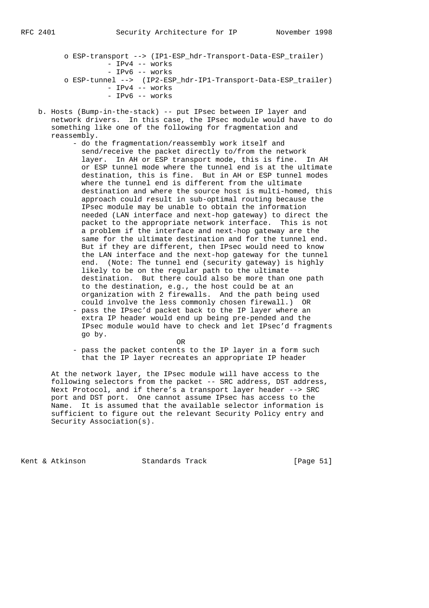| o ESP-transport --> (IP1-ESP_hdr-Transport-Data-ESP_trailer)  |
|---------------------------------------------------------------|
| - IPv4 -- works                                               |
| - IPv6 -- works                                               |
| o ESP-tunnel --> (IP2-ESP hdr-IP1-Transport-Data-ESP trailer) |
| - IPv4 -- works                                               |
| - IPv6 -- works                                               |

- b. Hosts (Bump-in-the-stack) -- put IPsec between IP layer and network drivers. In this case, the IPsec module would have to do something like one of the following for fragmentation and reassembly.
	- do the fragmentation/reassembly work itself and send/receive the packet directly to/from the network layer. In AH or ESP transport mode, this is fine. In AH or ESP tunnel mode where the tunnel end is at the ultimate destination, this is fine. But in AH or ESP tunnel modes where the tunnel end is different from the ultimate destination and where the source host is multi-homed, this approach could result in sub-optimal routing because the IPsec module may be unable to obtain the information needed (LAN interface and next-hop gateway) to direct the packet to the appropriate network interface. This is not a problem if the interface and next-hop gateway are the same for the ultimate destination and for the tunnel end. But if they are different, then IPsec would need to know the LAN interface and the next-hop gateway for the tunnel end. (Note: The tunnel end (security gateway) is highly likely to be on the regular path to the ultimate destination. But there could also be more than one path to the destination, e.g., the host could be at an organization with 2 firewalls. And the path being used could involve the less commonly chosen firewall.) OR - pass the IPsec'd packet back to the IP layer where an
	- extra IP header would end up being pre-pended and the IPsec module would have to check and let IPsec'd fragments go by.
- **OR** STREET AND THE STREET AND THE STREET AND THE STREET AND THE STREET AND THE STREET AND THE STREET AND THE STREET AND THE STREET AND THE STREET AND THE STREET AND THE STREET AND THE STREET AND THE STREET AND THE STREET - pass the packet contents to the IP layer in a form such that the IP layer recreates an appropriate IP header

 At the network layer, the IPsec module will have access to the following selectors from the packet -- SRC address, DST address, Next Protocol, and if there's a transport layer header --> SRC port and DST port. One cannot assume IPsec has access to the Name. It is assumed that the available selector information is sufficient to figure out the relevant Security Policy entry and Security Association(s).

Kent & Atkinson Standards Track [Page 51]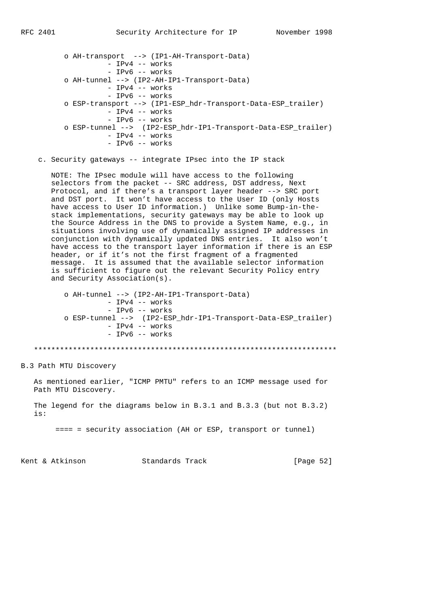```
 o AH-transport --> (IP1-AH-Transport-Data)
           - IPv4 -- works
           - IPv6 -- works
 o AH-tunnel --> (IP2-AH-IP1-Transport-Data)
           - IPv4 -- works
           - IPv6 -- works
 o ESP-transport --> (IP1-ESP_hdr-Transport-Data-ESP_trailer)
           - IPv4 -- works
           - IPv6 -- works
 o ESP-tunnel --> (IP2-ESP_hdr-IP1-Transport-Data-ESP_trailer)
           - IPv4 -- works
           - IPv6 -- works
```
c. Security gateways -- integrate IPsec into the IP stack

 NOTE: The IPsec module will have access to the following selectors from the packet -- SRC address, DST address, Next Protocol, and if there's a transport layer header --> SRC port and DST port. It won't have access to the User ID (only Hosts have access to User ID information.) Unlike some Bump-in-the stack implementations, security gateways may be able to look up the Source Address in the DNS to provide a System Name, e.g., in situations involving use of dynamically assigned IP addresses in conjunction with dynamically updated DNS entries. It also won't have access to the transport layer information if there is an ESP header, or if it's not the first fragment of a fragmented message. It is assumed that the available selector information is sufficient to figure out the relevant Security Policy entry and Security Association(s).

 o AH-tunnel --> (IP2-AH-IP1-Transport-Data) - IPv4 -- works - IPv6 -- works o ESP-tunnel --> (IP2-ESP\_hdr-IP1-Transport-Data-ESP\_trailer) - IPv4 -- works - IPv6 -- works

\*\*\*\*\*\*\*\*\*\*\*\*\*\*\*\*\*\*\*\*\*\*\*\*\*\*\*\*\*\*\*\*\*\*\*\*\*\*\*\*\*\*\*\*\*\*\*\*\*\*\*\*\*\*\*\*\*\*\*\*\*\*\*\*\*\*\*\*\*\*

B.3 Path MTU Discovery

 As mentioned earlier, "ICMP PMTU" refers to an ICMP message used for Path MTU Discovery.

 The legend for the diagrams below in B.3.1 and B.3.3 (but not B.3.2) is:

==== = security association (AH or ESP, transport or tunnel)

Kent & Atkinson Standards Track [Page 52]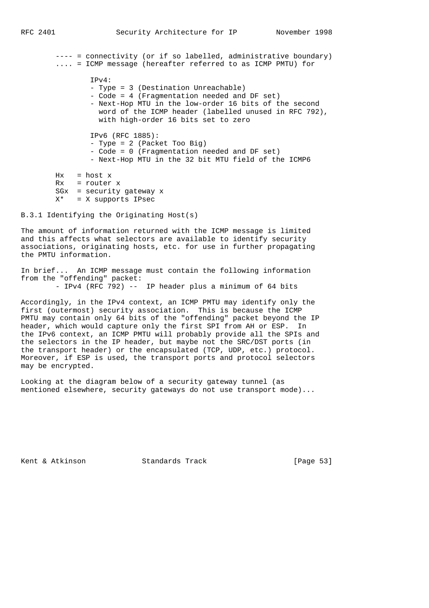---- = connectivity (or if so labelled, administrative boundary) .... = ICMP message (hereafter referred to as ICMP PMTU) for  $TPy4:$  - Type = 3 (Destination Unreachable) - Code = 4 (Fragmentation needed and DF set) - Next-Hop MTU in the low-order 16 bits of the second word of the ICMP header (labelled unused in RFC 792), with high-order 16 bits set to zero IPv6 (RFC 1885): - Type = 2 (Packet Too Big) - Code = 0 (Fragmentation needed and DF set) - Next-Hop MTU in the 32 bit MTU field of the ICMP6  $Hx = host x$  Rx = router x SGx = security gateway x X\* = X supports IPsec

B.3.1 Identifying the Originating Host(s)

The amount of information returned with the ICMP message is limited and this affects what selectors are available to identify security associations, originating hosts, etc. for use in further propagating the PMTU information.

In brief... An ICMP message must contain the following information from the "offending" packet: - IPv4 (RFC 792) -- IP header plus a minimum of 64 bits

Accordingly, in the IPv4 context, an ICMP PMTU may identify only the first (outermost) security association. This is because the ICMP PMTU may contain only 64 bits of the "offending" packet beyond the IP header, which would capture only the first SPI from AH or ESP. In the IPv6 context, an ICMP PMTU will probably provide all the SPIs and the selectors in the IP header, but maybe not the SRC/DST ports (in the transport header) or the encapsulated (TCP, UDP, etc.) protocol. Moreover, if ESP is used, the transport ports and protocol selectors may be encrypted.

Looking at the diagram below of a security gateway tunnel (as mentioned elsewhere, security gateways do not use transport mode)...

Kent & Atkinson Standards Track [Page 53]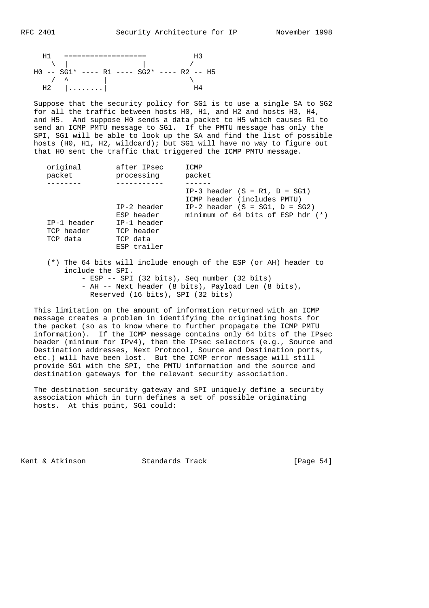

 Suppose that the security policy for SG1 is to use a single SA to SG2 for all the traffic between hosts H0, H1, and H2 and hosts H3, H4, and H5. And suppose H0 sends a data packet to H5 which causes R1 to send an ICMP PMTU message to SG1. If the PMTU message has only the SPI, SG1 will be able to look up the SA and find the list of possible hosts (H0, H1, H2, wildcard); but SG1 will have no way to figure out that H0 sent the traffic that triggered the ICMP PMTU message.

| original<br>packet                    | after IPsec<br>processing                                          | ICMP<br>packet                                                                                     |
|---------------------------------------|--------------------------------------------------------------------|----------------------------------------------------------------------------------------------------|
|                                       | $IP-2$ header                                                      | IP-3 header $(S = R1, D = SG1)$<br>ICMP header (includes PMTU)<br>IP-2 header $(S = SG1, D = SG2)$ |
| IP-1 header<br>TCP header<br>TCP data | ESP header<br>IP-1 header<br>TCP header<br>TCP data<br>ESP trailer | minimum of 64 bits of ESP hdr (*)                                                                  |

- (\*) The 64 bits will include enough of the ESP (or AH) header to include the SPI.
	- ESP -- SPI (32 bits), Seq number (32 bits) - AH -- Next header (8 bits), Payload Len (8 bits), Reserved (16 bits), SPI (32 bits)

 This limitation on the amount of information returned with an ICMP message creates a problem in identifying the originating hosts for the packet (so as to know where to further propagate the ICMP PMTU information). If the ICMP message contains only 64 bits of the IPsec header (minimum for IPv4), then the IPsec selectors (e.g., Source and Destination addresses, Next Protocol, Source and Destination ports, etc.) will have been lost. But the ICMP error message will still provide SG1 with the SPI, the PMTU information and the source and destination gateways for the relevant security association.

 The destination security gateway and SPI uniquely define a security association which in turn defines a set of possible originating hosts. At this point, SG1 could:

Kent & Atkinson Standards Track [Page 54]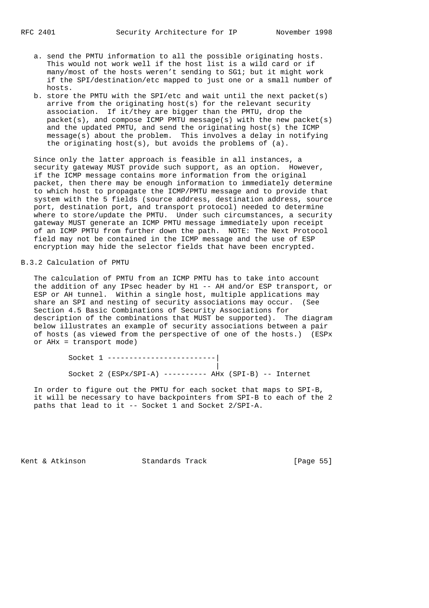- a. send the PMTU information to all the possible originating hosts. This would not work well if the host list is a wild card or if many/most of the hosts weren't sending to SG1; but it might work if the SPI/destination/etc mapped to just one or a small number of hosts.
- b. store the PMTU with the SPI/etc and wait until the next packet(s) arrive from the originating host(s) for the relevant security association. If it/they are bigger than the PMTU, drop the packet(s), and compose ICMP PMTU message(s) with the new packet(s) and the updated PMTU, and send the originating host(s) the ICMP message(s) about the problem. This involves a delay in notifying the originating host(s), but avoids the problems of  $(a)$ .

 Since only the latter approach is feasible in all instances, a security gateway MUST provide such support, as an option. However, if the ICMP message contains more information from the original packet, then there may be enough information to immediately determine to which host to propagate the ICMP/PMTU message and to provide that system with the 5 fields (source address, destination address, source port, destination port, and transport protocol) needed to determine where to store/update the PMTU. Under such circumstances, a security gateway MUST generate an ICMP PMTU message immediately upon receipt of an ICMP PMTU from further down the path. NOTE: The Next Protocol field may not be contained in the ICMP message and the use of ESP encryption may hide the selector fields that have been encrypted.

#### B.3.2 Calculation of PMTU

 The calculation of PMTU from an ICMP PMTU has to take into account the addition of any IPsec header by H1 -- AH and/or ESP transport, or ESP or AH tunnel. Within a single host, multiple applications may share an SPI and nesting of security associations may occur. (See Section 4.5 Basic Combinations of Security Associations for description of the combinations that MUST be supported). The diagram below illustrates an example of security associations between a pair of hosts (as viewed from the perspective of one of the hosts.) (ESPx or AHx = transport mode)

```
 Socket 1 -------------------------|
 |
        Socket 2 (ESPx/SPI-A) ---------- AHx (SPI-B) -- Internet
```
 In order to figure out the PMTU for each socket that maps to SPI-B, it will be necessary to have backpointers from SPI-B to each of the 2 paths that lead to it -- Socket 1 and Socket 2/SPI-A.

Kent & Atkinson Standards Track [Page 55]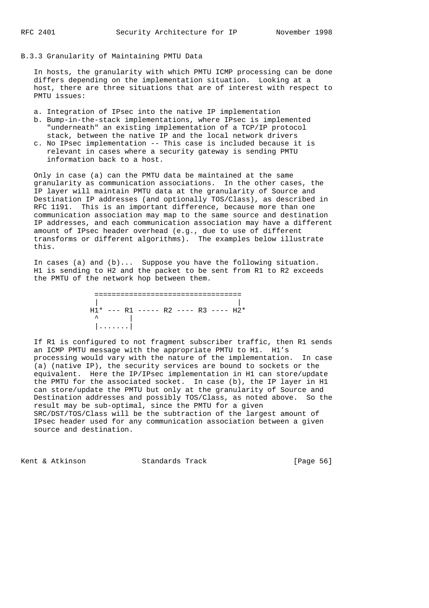# B.3.3 Granularity of Maintaining PMTU Data

 In hosts, the granularity with which PMTU ICMP processing can be done differs depending on the implementation situation. Looking at a host, there are three situations that are of interest with respect to PMTU issues:

- a. Integration of IPsec into the native IP implementation
- b. Bump-in-the-stack implementations, where IPsec is implemented "underneath" an existing implementation of a TCP/IP protocol stack, between the native IP and the local network drivers
- c. No IPsec implementation -- This case is included because it is relevant in cases where a security gateway is sending PMTU information back to a host.

 Only in case (a) can the PMTU data be maintained at the same granularity as communication associations. In the other cases, the IP layer will maintain PMTU data at the granularity of Source and Destination IP addresses (and optionally TOS/Class), as described in RFC 1191. This is an important difference, because more than one communication association may map to the same source and destination IP addresses, and each communication association may have a different amount of IPsec header overhead (e.g., due to use of different transforms or different algorithms). The examples below illustrate this.

 In cases (a) and (b)... Suppose you have the following situation. H1 is sending to H2 and the packet to be sent from R1 to R2 exceeds the PMTU of the network hop between them.

 ================================== | | H1\* --- R1 ----- R2 ---- R3 ---- H2\* ^ | |.......|

 If R1 is configured to not fragment subscriber traffic, then R1 sends an ICMP PMTU message with the appropriate PMTU to H1. H1's processing would vary with the nature of the implementation. In case (a) (native IP), the security services are bound to sockets or the equivalent. Here the IP/IPsec implementation in H1 can store/update the PMTU for the associated socket. In case (b), the IP layer in H1 can store/update the PMTU but only at the granularity of Source and Destination addresses and possibly TOS/Class, as noted above. So the result may be sub-optimal, since the PMTU for a given SRC/DST/TOS/Class will be the subtraction of the largest amount of IPsec header used for any communication association between a given source and destination.

Kent & Atkinson Standards Track [Page 56]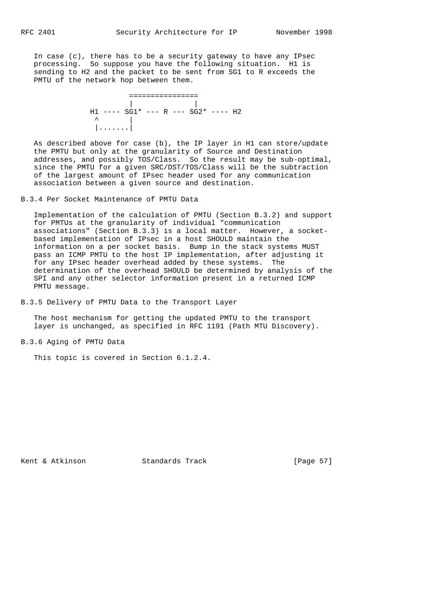In case (c), there has to be a security gateway to have any IPsec processing. So suppose you have the following situation. H1 is sending to H2 and the packet to be sent from SG1 to R exceeds the PMTU of the network hop between them.

> ================ | | H1 ---- SG1\* --- R --- SG2\* ---- H2  $\sim$   $\sim$   $\sim$   $\sim$ |.......|

 As described above for case (b), the IP layer in H1 can store/update the PMTU but only at the granularity of Source and Destination addresses, and possibly TOS/Class. So the result may be sub-optimal, since the PMTU for a given SRC/DST/TOS/Class will be the subtraction of the largest amount of IPsec header used for any communication association between a given source and destination.

B.3.4 Per Socket Maintenance of PMTU Data

 Implementation of the calculation of PMTU (Section B.3.2) and support for PMTUs at the granularity of individual "communication associations" (Section B.3.3) is a local matter. However, a socket based implementation of IPsec in a host SHOULD maintain the information on a per socket basis. Bump in the stack systems MUST pass an ICMP PMTU to the host IP implementation, after adjusting it for any IPsec header overhead added by these systems. The determination of the overhead SHOULD be determined by analysis of the SPI and any other selector information present in a returned ICMP PMTU message.

B.3.5 Delivery of PMTU Data to the Transport Layer

 The host mechanism for getting the updated PMTU to the transport layer is unchanged, as specified in RFC 1191 (Path MTU Discovery).

B.3.6 Aging of PMTU Data

This topic is covered in Section 6.1.2.4.

Kent & Atkinson Standards Track [Page 57]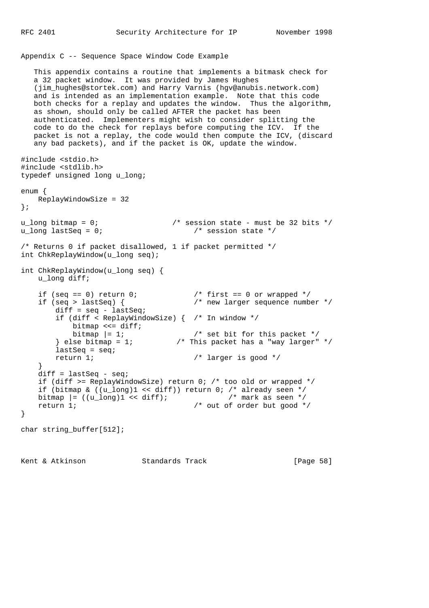Appendix C -- Sequence Space Window Code Example

```
 This appendix contains a routine that implements a bitmask check for
   a 32 packet window. It was provided by James Hughes
    (jim_hughes@stortek.com) and Harry Varnis (hgv@anubis.network.com)
   and is intended as an implementation example. Note that this code
   both checks for a replay and updates the window. Thus the algorithm,
   as shown, should only be called AFTER the packet has been
   authenticated. Implementers might wish to consider splitting the
   code to do the check for replays before computing the ICV. If the
   packet is not a replay, the code would then compute the ICV, (discard
   any bad packets), and if the packet is OK, update the window.
#include <stdio.h>
#include <stdlib.h>
typedef unsigned long u_long;
enum {
   ReplayWindowSize = 32
};
u_long bitmap = 0; \overline{\phantom{a}} /* session state - must be 32 bits */
u_long lastSeq = 0; \frac{1}{2} /* session state */
/* Returns 0 if packet disallowed, 1 if packet permitted */
int ChkReplayWindow(u_long seq);
int ChkReplayWindow(u_long seq) {
    u_long diff;
   if (seq == 0) return 0; \frac{1}{2} /* first == 0 or wrapped */<br>if (seq > lastSeq) { \frac{1}{2} /* new larger sequence number
                                      i^* new larger sequence number i^*diff = seq - lastSeq;
        if (diff < ReplayWindowSize) { /* In window */
            bitmap <<= diff;
bitmap |= 1; / * set bit for this packet * / } else bitmap = 1; /* This packet has a "way larger" */
 lastSeq = seq;
return 1; \frac{1}{2} /* larger is good */
     }
   diff = lastSeq - seq; if (diff >= ReplayWindowSize) return 0; /* too old or wrapped */
    if (bitmap & ((u_long)1 << diff)) return 0; /* already seen */
bitmap | = ((u_{long})1 \lt\lt diff); /* mark as seen */
 return 1; /* out of order but good */
}
char string buffer[512];
Kent & Atkinson               Standards Track                   [Page 58]
```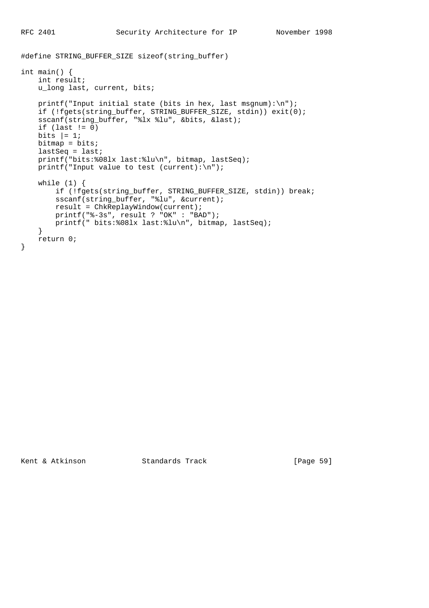```
#define STRING_BUFFER_SIZE sizeof(string_buffer)
int main() {
     int result;
     u_long last, current, bits;
   printf("Input initial state (bits in hex, last msgnum):\n");
    if (!fgets(string_buffer, STRING_BUFFER_SIZE, stdin)) exit(0);
     sscanf(string_buffer, "%lx %lu", &bits, &last);
    if (\text{last } != 0)bits = 1;
   bitmap = bits;lastSeq = last; printf("bits:%08lx last:%lu\n", bitmap, lastSeq);
   \text{print}(\text{Input value to test (current)}: \n});
     while (1) {
         if (!fgets(string_buffer, STRING_BUFFER_SIZE, stdin)) break;
        sscanf(string_buffer, "%lu", &current);
         result = ChkReplayWindow(current);
         printf("%-3s", result ? "OK" : "BAD");
        printf(" bits:%08lx last:%lu\n", bitmap, lastSeq);
     }
     return 0;
}
```
Kent & Atkinson Standards Track [Page 59]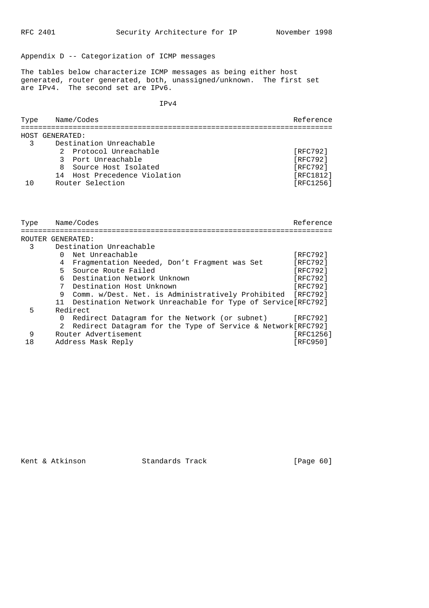# Appendix D -- Categorization of ICMP messages

The tables below characterize ICMP messages as being either host generated, router generated, both, unassigned/unknown. The first set are IPv4. The second set are IPv6.

| IPv4 |
|------|
|      |

| Type |                 | Name/Codes                   | Reference |
|------|-----------------|------------------------------|-----------|
|      | HOST GENERATED: |                              |           |
| 3    |                 | Destination Unreachable      |           |
|      |                 | Protocol Unreachable         | [RFC792]  |
|      | २               | Port Unreachable             | [RFC792]  |
|      | 8               | Source Host Isolated         | [RFC792]  |
|      |                 | 14 Host Precedence Violation | [RFC1812] |
| 1 O  |                 | Router Selection             | [RFC1256] |

| Type   |    | Name/Codes                                                  | Reference |
|--------|----|-------------------------------------------------------------|-----------|
| ROUTER |    | GENERATED:                                                  |           |
| 3      |    | Destination Unreachable                                     |           |
|        | 0  | Net Unreachable                                             | [RFC792]  |
|        | 4  | Fragmentation Needed, Don't Fragment was Set                | [RFC792]  |
|        | 5  | Source Route Failed                                         | [RFC792]  |
|        | 6  | Destination Network Unknown                                 | [RFC792]  |
|        | 7  | Destination Host Unknown                                    | [RFC792]  |
|        | 9  | Comm. w/Dest. Net. is Administratively Prohibited           | [RFC792]  |
|        | 11 | Destination Network Unreachable for Type of Service RFC792] |           |
| 5      |    | Redirect                                                    |           |
|        | 0  | Redirect Datagram for the Network (or subnet)               | [RFC792]  |
|        | 2  | Redirect Datagram for the Type of Service & Network[RFC792] |           |
| 9      |    | Router Advertisement                                        | [RFC1256] |
| 18     |    | Address Mask Reply                                          | [RFC950]  |

Kent & Atkinson Standards Track [Page 60]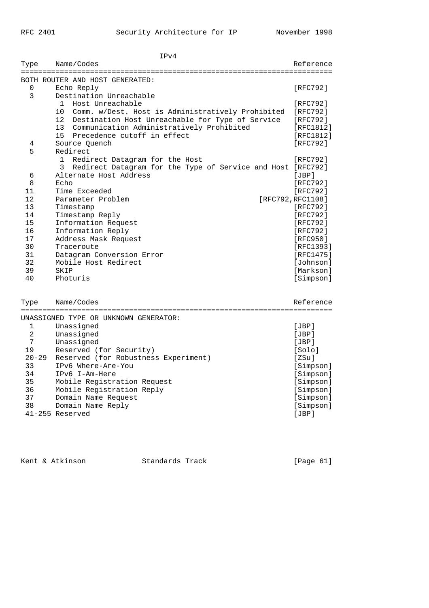|           | IPv4                                                                |                   |
|-----------|---------------------------------------------------------------------|-------------------|
| Type      | Name/Codes                                                          | Reference         |
|           | BOTH ROUTER AND HOST GENERATED:                                     |                   |
| 0         | Echo Reply                                                          | [RFC792]          |
| 3         | Destination Unreachable                                             |                   |
|           | Host Unreachable<br>$\mathbf{1}$                                    | [RFC792]          |
|           | 10<br>Comm. w/Dest. Host is Administratively Prohibited             | [RFC792]          |
|           | 12 <sup>°</sup><br>Destination Host Unreachable for Type of Service | [RFC792]          |
|           | 13<br>Communication Administratively Prohibited                     | [RFC1812]         |
|           | 15<br>Precedence cutoff in effect                                   | [RFC1812]         |
| 4         | Source Ouench                                                       | [RFC792]          |
| 5         | Redirect                                                            |                   |
|           | 1<br>Redirect Datagram for the Host                                 | [RFC792]          |
|           | 3<br>Redirect Datagram for the Type of Service and Host [RFC792]    |                   |
| 6         | Alternate Host Address                                              | [JBP]             |
| 8         | Echo                                                                | [RFC792]          |
| 11        | Time Exceeded                                                       | [RFC792]          |
| 12        | Parameter Problem                                                   | [RFC792, RFC1108] |
| 13        | Timestamp                                                           | [RFC792]          |
| 14        | Timestamp Reply                                                     | [RFC792]          |
| 15        | Information Request                                                 | [RFC792]          |
| 16        | Information Reply                                                   | [RFC792]          |
| 17        | Address Mask Request                                                | [RFC950]          |
| 30        | Traceroute                                                          | [RFC1393]         |
| 31        | Datagram Conversion Error                                           | [RFC1475]         |
| 32        | Mobile Host Redirect                                                | [Johnson]         |
| 39        | SKIP                                                                | [Markson]         |
| 40        | Photuris                                                            | [Simpson]         |
| Type      | Name/Codes                                                          | Reference         |
|           |                                                                     |                   |
|           | UNASSIGNED TYPE OR UNKNOWN GENERATOR:                               |                   |
| 1         | Unassigned                                                          | [JBP]             |
| 2         | Unassigned                                                          | [JBP]             |
| 7         | Unassigned                                                          | [JBP]             |
| 19        | Reserved (for Security)                                             | [Solo]            |
| $20 - 29$ | Reserved (for Robustness Experiment)                                | [ZSu]             |
| 33        | IPv6 Where-Are-You                                                  | [Simpson]         |
| 34        | IPv6 I-Am-Here                                                      | [Simpson]         |
| 35        | Mobile Registration Request                                         | [Simpson]         |
| 36        | Mobile Registration Reply                                           | [Simpson]         |
| 37        | Domain Name Request                                                 | [Simpson]         |
| 38        | Domain Name Reply                                                   | [Simpson]         |

Kent & Atkinson Standards Track [Page 61]

41-255 Reserved [JBP]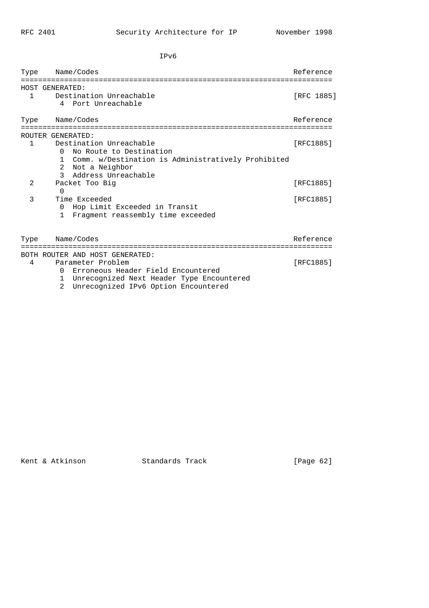# IPv6

| Type                            | Name/Codes      | Reference                                          |            |  |
|---------------------------------|-----------------|----------------------------------------------------|------------|--|
|                                 | HOST GENERATED: |                                                    |            |  |
| 1                               |                 | Destination Unreachable                            | FRFC 18851 |  |
|                                 | $\overline{4}$  | Port Unreachable                                   |            |  |
| Type                            |                 | Name/Codes                                         | Reference  |  |
|                                 |                 |                                                    |            |  |
| ROUTER GENERATED:               |                 |                                                    |            |  |
| 1.                              |                 | Destination Unreachable                            | [RFC1885]  |  |
|                                 | 0               | No Route to Destination                            |            |  |
|                                 | $\mathbf{1}$    | Comm. w/Destination is Administratively Prohibited |            |  |
|                                 | $\overline{2}$  | Not a Neighbor                                     |            |  |
|                                 | २               | Address Unreachable                                |            |  |
| $\mathfrak{D}$                  |                 | Packet Too Big                                     | [RFC1885]  |  |
|                                 | $\Omega$        |                                                    |            |  |
| 3                               |                 | Time Exceeded                                      | [RFC1885]  |  |
|                                 | 0               | Hop Limit Exceeded in Transit                      |            |  |
|                                 | $\mathbf{1}$    | Fragment reassembly time exceeded                  |            |  |
|                                 |                 |                                                    |            |  |
| Type                            |                 | Name/Codes                                         | Reference  |  |
|                                 |                 |                                                    |            |  |
| BOTH ROUTER AND HOST GENERATED: |                 |                                                    |            |  |
| 4                               |                 | Parameter Problem                                  | [RFC1885]  |  |
|                                 | 0               | Erroneous Header Field Encountered                 |            |  |
|                                 | 1               | Unrecognized Next Header Type Encountered          |            |  |
|                                 | $\mathfrak{D}$  | Unrecognized IPv6 Option Encountered               |            |  |

Kent & Atkinson Standards Track [Page 62]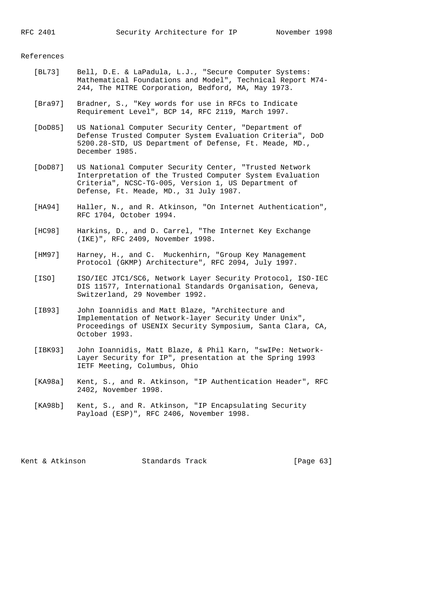#### References

- [BL73] Bell, D.E. & LaPadula, L.J., "Secure Computer Systems: Mathematical Foundations and Model", Technical Report M74- 244, The MITRE Corporation, Bedford, MA, May 1973.
- [Bra97] Bradner, S., "Key words for use in RFCs to Indicate Requirement Level", BCP 14, RFC 2119, March 1997.
- [DoD85] US National Computer Security Center, "Department of Defense Trusted Computer System Evaluation Criteria", DoD 5200.28-STD, US Department of Defense, Ft. Meade, MD., December 1985.
- [DoD87] US National Computer Security Center, "Trusted Network Interpretation of the Trusted Computer System Evaluation Criteria", NCSC-TG-005, Version 1, US Department of Defense, Ft. Meade, MD., 31 July 1987.
- [HA94] Haller, N., and R. Atkinson, "On Internet Authentication", RFC 1704, October 1994.
- [HC98] Harkins, D., and D. Carrel, "The Internet Key Exchange (IKE)", RFC 2409, November 1998.
	- [HM97] Harney, H., and C. Muckenhirn, "Group Key Management Protocol (GKMP) Architecture", RFC 2094, July 1997.
	- [ISO] ISO/IEC JTC1/SC6, Network Layer Security Protocol, ISO-IEC DIS 11577, International Standards Organisation, Geneva, Switzerland, 29 November 1992.
	- [IB93] John Ioannidis and Matt Blaze, "Architecture and Implementation of Network-layer Security Under Unix", Proceedings of USENIX Security Symposium, Santa Clara, CA, October 1993.
	- [IBK93] John Ioannidis, Matt Blaze, & Phil Karn, "swIPe: Network- Layer Security for IP", presentation at the Spring 1993 IETF Meeting, Columbus, Ohio
	- [KA98a] Kent, S., and R. Atkinson, "IP Authentication Header", RFC 2402, November 1998.
	- [KA98b] Kent, S., and R. Atkinson, "IP Encapsulating Security Payload (ESP)", RFC 2406, November 1998.

Kent & Atkinson Standards Track [Page 63]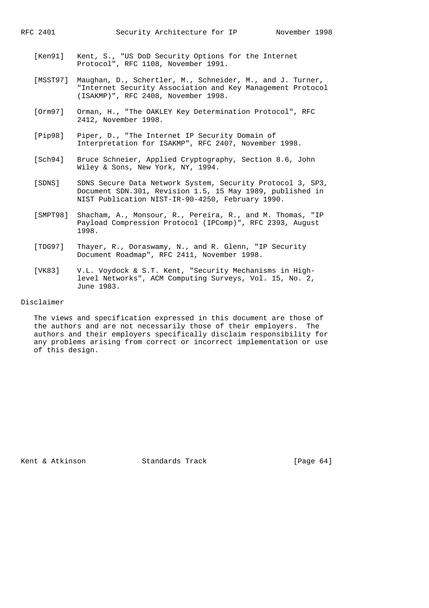- [Ken91] Kent, S., "US DoD Security Options for the Internet Protocol", RFC 1108, November 1991.
	- [MSST97] Maughan, D., Schertler, M., Schneider, M., and J. Turner, "Internet Security Association and Key Management Protocol (ISAKMP)", RFC 2408, November 1998.
	- [Orm97] Orman, H., "The OAKLEY Key Determination Protocol", RFC 2412, November 1998.
	- [Pip98] Piper, D., "The Internet IP Security Domain of Interpretation for ISAKMP", RFC 2407, November 1998.
	- [Sch94] Bruce Schneier, Applied Cryptography, Section 8.6, John Wiley & Sons, New York, NY, 1994.
	- [SDNS] SDNS Secure Data Network System, Security Protocol 3, SP3, Document SDN.301, Revision 1.5, 15 May 1989, published in NIST Publication NIST-IR-90-4250, February 1990.
	- [SMPT98] Shacham, A., Monsour, R., Pereira, R., and M. Thomas, "IP Payload Compression Protocol (IPComp)", RFC 2393, August 1998.
	- [TDG97] Thayer, R., Doraswamy, N., and R. Glenn, "IP Security Document Roadmap", RFC 2411, November 1998.
	- [VK83] V.L. Voydock & S.T. Kent, "Security Mechanisms in High level Networks", ACM Computing Surveys, Vol. 15, No. 2, June 1983.

# Disclaimer

 The views and specification expressed in this document are those of the authors and are not necessarily those of their employers. The authors and their employers specifically disclaim responsibility for any problems arising from correct or incorrect implementation or use of this design.

Kent & Atkinson Standards Track [Page 64]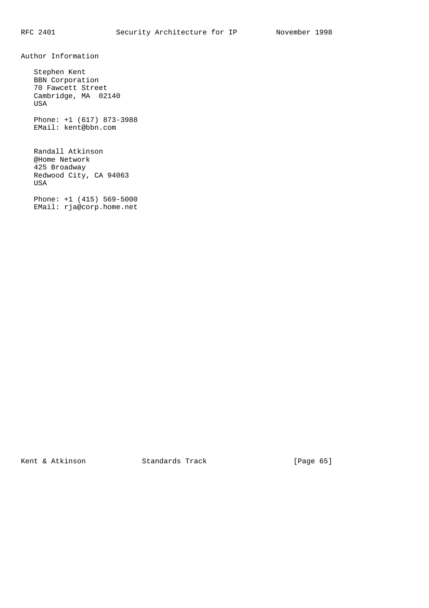Author Information

 Stephen Kent BBN Corporation 70 Fawcett Street Cambridge, MA 02140 USA Phone: +1 (617) 873-3988 EMail: kent@bbn.com Randall Atkinson @Home Network 425 Broadway Redwood City, CA 94063 USA

 Phone: +1 (415) 569-5000 EMail: rja@corp.home.net

Kent & Atkinson Standards Track [Page 65]